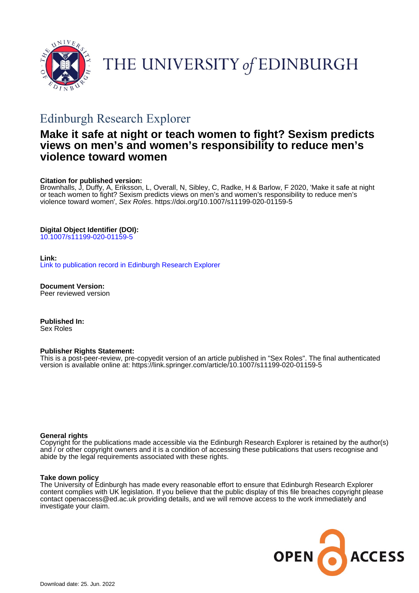

# THE UNIVERSITY of EDINBURGH

# Edinburgh Research Explorer

# **Make it safe at night or teach women to fight? Sexism predicts views on men's and women's responsibility to reduce men's violence toward women**

# **Citation for published version:**

Brownhalls, J, Duffy, A, Eriksson, L, Overall, N, Sibley, C, Radke, H & Barlow, F 2020, 'Make it safe at night or teach women to fight? Sexism predicts views on men's and women's responsibility to reduce men's violence toward women', Sex Roles.<https://doi.org/10.1007/s11199-020-01159-5>

# **Digital Object Identifier (DOI):**

[10.1007/s11199-020-01159-5](https://doi.org/10.1007/s11199-020-01159-5)

#### **Link:**

[Link to publication record in Edinburgh Research Explorer](https://www.research.ed.ac.uk/en/publications/a03e3737-e617-466e-baaf-7523385aa4d2)

**Document Version:** Peer reviewed version

**Published In:** Sex Roles

#### **Publisher Rights Statement:**

This is a post-peer-review, pre-copyedit version of an article published in "Sex Roles". The final authenticated version is available online at: https://link.springer.com/article/10.1007/s11199-020-01159-5

#### **General rights**

Copyright for the publications made accessible via the Edinburgh Research Explorer is retained by the author(s) and / or other copyright owners and it is a condition of accessing these publications that users recognise and abide by the legal requirements associated with these rights.

#### **Take down policy**

The University of Edinburgh has made every reasonable effort to ensure that Edinburgh Research Explorer content complies with UK legislation. If you believe that the public display of this file breaches copyright please contact openaccess@ed.ac.uk providing details, and we will remove access to the work immediately and investigate your claim.

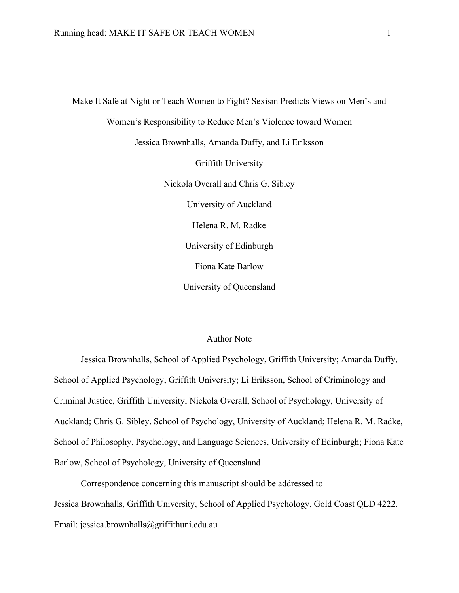Make It Safe at Night or Teach Women to Fight? Sexism Predicts Views on Men's and Women's Responsibility to Reduce Men's Violence toward Women Jessica Brownhalls, Amanda Duffy, and Li Eriksson Griffith University Nickola Overall and Chris G. Sibley University of Auckland Helena R. M. Radke University of Edinburgh Fiona Kate Barlow University of Queensland

# Author Note

Jessica Brownhalls, School of Applied Psychology, Griffith University; Amanda Duffy, School of Applied Psychology, Griffith University; Li Eriksson, School of Criminology and Criminal Justice, Griffith University; Nickola Overall, School of Psychology, University of Auckland; Chris G. Sibley, School of Psychology, University of Auckland; Helena R. M. Radke, School of Philosophy, Psychology, and Language Sciences, University of Edinburgh; Fiona Kate Barlow, School of Psychology, University of Queensland

Correspondence concerning this manuscript should be addressed to Jessica Brownhalls, Griffith University, School of Applied Psychology, Gold Coast QLD 4222. Email: jessica.brownhalls@griffithuni.edu.au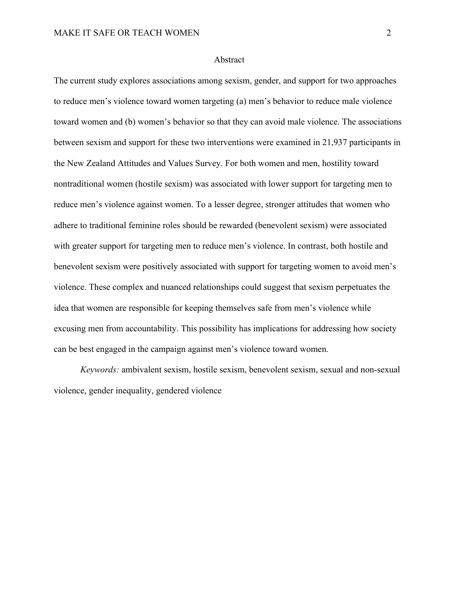#### Abstract

The current study explores associations among sexism, gender, and support for two approaches to reduce men's violence toward women targeting (a) men's behavior to reduce male violence toward women and (b) women's behavior so that they can avoid male violence. The associations between sexism and support for these two interventions were examined in 21,937 participants in the New Zealand Attitudes and Values Survey. For both women and men, hostility toward nontraditional women (hostile sexism) was associated with lower support for targeting men to reduce men's violence against women. To a lesser degree, stronger attitudes that women who adhere to traditional feminine roles should be rewarded (benevolent sexism) were associated with greater support for targeting men to reduce men's violence. In contrast, both hostile and benevolent sexism were positively associated with support for targeting women to avoid men's violence. These complex and nuanced relationships could suggest that sexism perpetuates the idea that women are responsible for keeping themselves safe from men's violence while excusing men from accountability. This possibility has implications for addressing how society can be best engaged in the campaign against men's violence toward women.

*Keywords:* ambivalent sexism, hostile sexism, benevolent sexism, sexual and non-sexual violence, gender inequality, gendered violence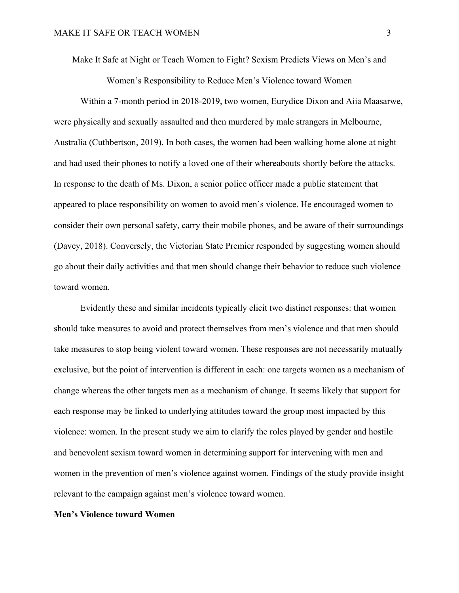Make It Safe at Night or Teach Women to Fight? Sexism Predicts Views on Men's and

Women's Responsibility to Reduce Men's Violence toward Women

Within a 7-month period in 2018-2019, two women, Eurydice Dixon and Aiia Maasarwe, were physically and sexually assaulted and then murdered by male strangers in Melbourne, Australia (Cuthbertson, 2019). In both cases, the women had been walking home alone at night and had used their phones to notify a loved one of their whereabouts shortly before the attacks. In response to the death of Ms. Dixon, a senior police officer made a public statement that appeared to place responsibility on women to avoid men's violence. He encouraged women to consider their own personal safety, carry their mobile phones, and be aware of their surroundings (Davey, 2018). Conversely, the Victorian State Premier responded by suggesting women should go about their daily activities and that men should change their behavior to reduce such violence toward women.

Evidently these and similar incidents typically elicit two distinct responses: that women should take measures to avoid and protect themselves from men's violence and that men should take measures to stop being violent toward women. These responses are not necessarily mutually exclusive, but the point of intervention is different in each: one targets women as a mechanism of change whereas the other targets men as a mechanism of change. It seems likely that support for each response may be linked to underlying attitudes toward the group most impacted by this violence: women. In the present study we aim to clarify the roles played by gender and hostile and benevolent sexism toward women in determining support for intervening with men and women in the prevention of men's violence against women. Findings of the study provide insight relevant to the campaign against men's violence toward women.

# **Men's Violence toward Women**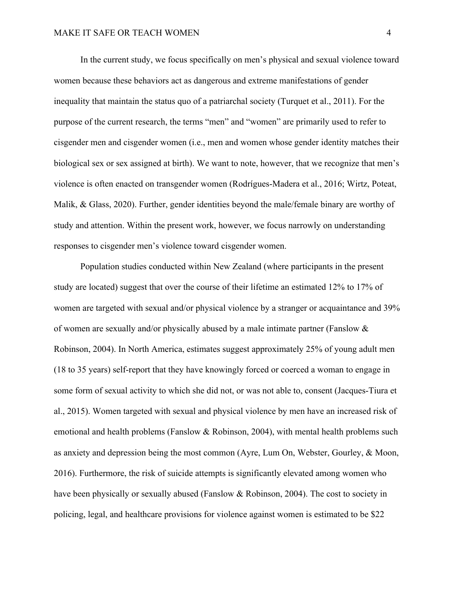In the current study, we focus specifically on men's physical and sexual violence toward women because these behaviors act as dangerous and extreme manifestations of gender inequality that maintain the status quo of a patriarchal society (Turquet et al., 2011). For the purpose of the current research, the terms "men" and "women" are primarily used to refer to cisgender men and cisgender women (i.e., men and women whose gender identity matches their biological sex or sex assigned at birth). We want to note, however, that we recognize that men's violence is often enacted on transgender women (Rodrígues-Madera et al., 2016; Wirtz, Poteat, Malik, & Glass, 2020). Further, gender identities beyond the male/female binary are worthy of study and attention. Within the present work, however, we focus narrowly on understanding responses to cisgender men's violence toward cisgender women.

Population studies conducted within New Zealand (where participants in the present study are located) suggest that over the course of their lifetime an estimated 12% to 17% of women are targeted with sexual and/or physical violence by a stranger or acquaintance and 39% of women are sexually and/or physically abused by a male intimate partner (Fanslow & Robinson, 2004). In North America, estimates suggest approximately 25% of young adult men (18 to 35 years) self-report that they have knowingly forced or coerced a woman to engage in some form of sexual activity to which she did not, or was not able to, consent (Jacques-Tiura et al., 2015). Women targeted with sexual and physical violence by men have an increased risk of emotional and health problems (Fanslow & Robinson, 2004), with mental health problems such as anxiety and depression being the most common (Ayre, Lum On, Webster, Gourley, & Moon, 2016). Furthermore, the risk of suicide attempts is significantly elevated among women who have been physically or sexually abused (Fanslow & Robinson, 2004). The cost to society in policing, legal, and healthcare provisions for violence against women is estimated to be \$22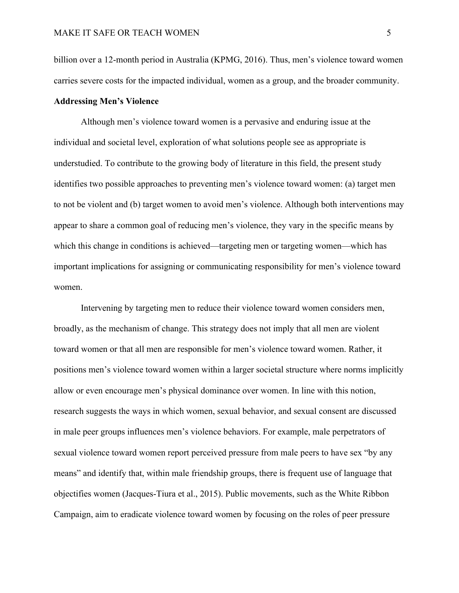billion over a 12-month period in Australia (KPMG, 2016). Thus, men's violence toward women carries severe costs for the impacted individual, women as a group, and the broader community.

#### **Addressing Men's Violence**

Although men's violence toward women is a pervasive and enduring issue at the individual and societal level, exploration of what solutions people see as appropriate is understudied. To contribute to the growing body of literature in this field, the present study identifies two possible approaches to preventing men's violence toward women: (a) target men to not be violent and (b) target women to avoid men's violence. Although both interventions may appear to share a common goal of reducing men's violence, they vary in the specific means by which this change in conditions is achieved—targeting men or targeting women—which has important implications for assigning or communicating responsibility for men's violence toward women.

Intervening by targeting men to reduce their violence toward women considers men, broadly, as the mechanism of change. This strategy does not imply that all men are violent toward women or that all men are responsible for men's violence toward women. Rather, it positions men's violence toward women within a larger societal structure where norms implicitly allow or even encourage men's physical dominance over women. In line with this notion, research suggests the ways in which women, sexual behavior, and sexual consent are discussed in male peer groups influences men's violence behaviors. For example, male perpetrators of sexual violence toward women report perceived pressure from male peers to have sex "by any means" and identify that, within male friendship groups, there is frequent use of language that objectifies women (Jacques-Tiura et al., 2015). Public movements, such as the White Ribbon Campaign, aim to eradicate violence toward women by focusing on the roles of peer pressure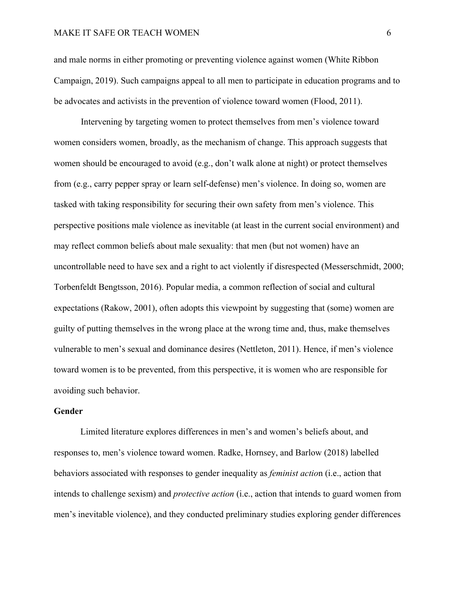# MAKE IT SAFE OR TEACH WOMEN 6

and male norms in either promoting or preventing violence against women (White Ribbon Campaign, 2019). Such campaigns appeal to all men to participate in education programs and to be advocates and activists in the prevention of violence toward women (Flood, 2011).

Intervening by targeting women to protect themselves from men's violence toward women considers women, broadly, as the mechanism of change. This approach suggests that women should be encouraged to avoid (e.g., don't walk alone at night) or protect themselves from (e.g., carry pepper spray or learn self-defense) men's violence. In doing so, women are tasked with taking responsibility for securing their own safety from men's violence. This perspective positions male violence as inevitable (at least in the current social environment) and may reflect common beliefs about male sexuality: that men (but not women) have an uncontrollable need to have sex and a right to act violently if disrespected (Messerschmidt, 2000; Torbenfeldt Bengtsson, 2016). Popular media, a common reflection of social and cultural expectations (Rakow, 2001), often adopts this viewpoint by suggesting that (some) women are guilty of putting themselves in the wrong place at the wrong time and, thus, make themselves vulnerable to men's sexual and dominance desires (Nettleton, 2011). Hence, if men's violence toward women is to be prevented, from this perspective, it is women who are responsible for avoiding such behavior.

# **Gender**

Limited literature explores differences in men's and women's beliefs about, and responses to, men's violence toward women. Radke, Hornsey, and Barlow (2018) labelled behaviors associated with responses to gender inequality as *feminist actio*n (i.e., action that intends to challenge sexism) and *protective action* (i.e., action that intends to guard women from men's inevitable violence), and they conducted preliminary studies exploring gender differences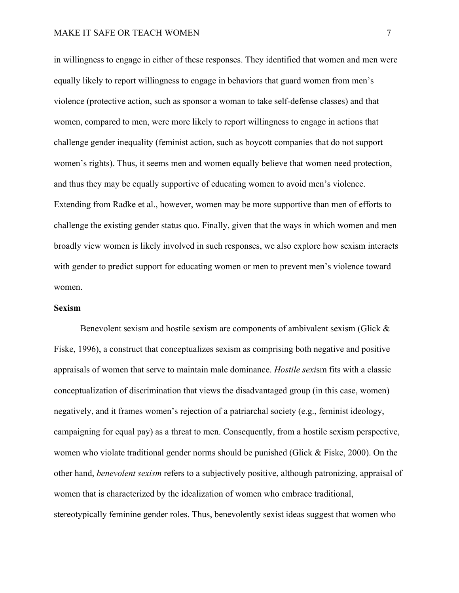in willingness to engage in either of these responses. They identified that women and men were equally likely to report willingness to engage in behaviors that guard women from men's violence (protective action, such as sponsor a woman to take self-defense classes) and that women, compared to men, were more likely to report willingness to engage in actions that challenge gender inequality (feminist action, such as boycott companies that do not support women's rights). Thus, it seems men and women equally believe that women need protection, and thus they may be equally supportive of educating women to avoid men's violence. Extending from Radke et al., however, women may be more supportive than men of efforts to challenge the existing gender status quo. Finally, given that the ways in which women and men broadly view women is likely involved in such responses, we also explore how sexism interacts with gender to predict support for educating women or men to prevent men's violence toward women.

## **Sexism**

Benevolent sexism and hostile sexism are components of ambivalent sexism (Glick & Fiske, 1996), a construct that conceptualizes sexism as comprising both negative and positive appraisals of women that serve to maintain male dominance. *Hostile sexi*sm fits with a classic conceptualization of discrimination that views the disadvantaged group (in this case, women) negatively, and it frames women's rejection of a patriarchal society (e.g., feminist ideology, campaigning for equal pay) as a threat to men. Consequently, from a hostile sexism perspective, women who violate traditional gender norms should be punished (Glick & Fiske, 2000). On the other hand, *benevolent sexism* refers to a subjectively positive, although patronizing, appraisal of women that is characterized by the idealization of women who embrace traditional, stereotypically feminine gender roles. Thus, benevolently sexist ideas suggest that women who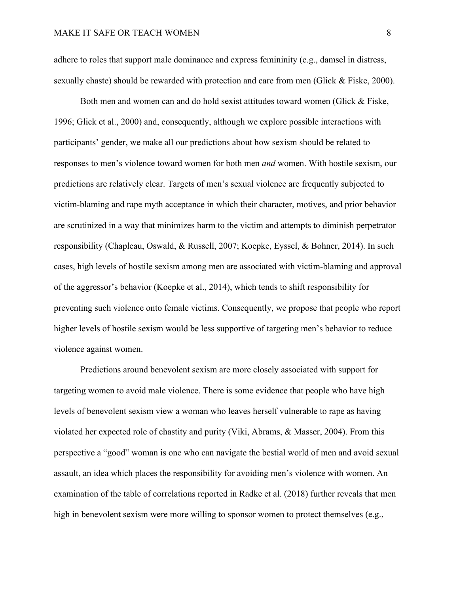adhere to roles that support male dominance and express femininity (e.g., damsel in distress, sexually chaste) should be rewarded with protection and care from men (Glick & Fiske, 2000).

Both men and women can and do hold sexist attitudes toward women (Glick & Fiske, 1996; Glick et al., 2000) and, consequently, although we explore possible interactions with participants' gender, we make all our predictions about how sexism should be related to responses to men's violence toward women for both men *and* women. With hostile sexism, our predictions are relatively clear. Targets of men's sexual violence are frequently subjected to victim-blaming and rape myth acceptance in which their character, motives, and prior behavior are scrutinized in a way that minimizes harm to the victim and attempts to diminish perpetrator responsibility (Chapleau, Oswald, & Russell, 2007; Koepke, Eyssel, & Bohner, 2014). In such cases, high levels of hostile sexism among men are associated with victim-blaming and approval of the aggressor's behavior (Koepke et al., 2014), which tends to shift responsibility for preventing such violence onto female victims. Consequently, we propose that people who report higher levels of hostile sexism would be less supportive of targeting men's behavior to reduce violence against women.

Predictions around benevolent sexism are more closely associated with support for targeting women to avoid male violence. There is some evidence that people who have high levels of benevolent sexism view a woman who leaves herself vulnerable to rape as having violated her expected role of chastity and purity (Viki, Abrams, & Masser, 2004). From this perspective a "good" woman is one who can navigate the bestial world of men and avoid sexual assault, an idea which places the responsibility for avoiding men's violence with women. An examination of the table of correlations reported in Radke et al. (2018) further reveals that men high in benevolent sexism were more willing to sponsor women to protect themselves (e.g.,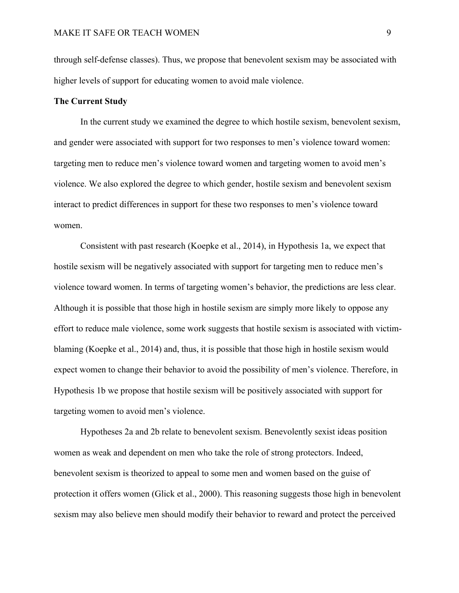through self-defense classes). Thus, we propose that benevolent sexism may be associated with higher levels of support for educating women to avoid male violence.

#### **The Current Study**

In the current study we examined the degree to which hostile sexism, benevolent sexism, and gender were associated with support for two responses to men's violence toward women: targeting men to reduce men's violence toward women and targeting women to avoid men's violence. We also explored the degree to which gender, hostile sexism and benevolent sexism interact to predict differences in support for these two responses to men's violence toward women.

Consistent with past research (Koepke et al., 2014), in Hypothesis 1a, we expect that hostile sexism will be negatively associated with support for targeting men to reduce men's violence toward women. In terms of targeting women's behavior, the predictions are less clear. Although it is possible that those high in hostile sexism are simply more likely to oppose any effort to reduce male violence, some work suggests that hostile sexism is associated with victimblaming (Koepke et al., 2014) and, thus, it is possible that those high in hostile sexism would expect women to change their behavior to avoid the possibility of men's violence. Therefore, in Hypothesis 1b we propose that hostile sexism will be positively associated with support for targeting women to avoid men's violence.

Hypotheses 2a and 2b relate to benevolent sexism. Benevolently sexist ideas position women as weak and dependent on men who take the role of strong protectors. Indeed, benevolent sexism is theorized to appeal to some men and women based on the guise of protection it offers women (Glick et al., 2000). This reasoning suggests those high in benevolent sexism may also believe men should modify their behavior to reward and protect the perceived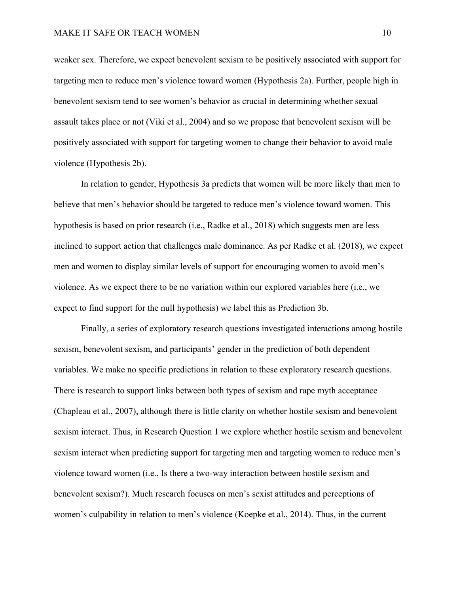weaker sex. Therefore, we expect benevolent sexism to be positively associated with support for targeting men to reduce men's violence toward women (Hypothesis 2a). Further, people high in benevolent sexism tend to see women's behavior as crucial in determining whether sexual assault takes place or not (Viki et al., 2004) and so we propose that benevolent sexism will be positively associated with support for targeting women to change their behavior to avoid male violence (Hypothesis 2b).

In relation to gender, Hypothesis 3a predicts that women will be more likely than men to believe that men's behavior should be targeted to reduce men's violence toward women. This hypothesis is based on prior research (i.e., Radke et al., 2018) which suggests men are less inclined to support action that challenges male dominance. As per Radke et al. (2018), we expect men and women to display similar levels of support for encouraging women to avoid men's violence. As we expect there to be no variation within our explored variables here (i.e., we expect to find support for the null hypothesis) we label this as Prediction 3b.

Finally, a series of exploratory research questions investigated interactions among hostile sexism, benevolent sexism, and participants' gender in the prediction of both dependent variables. We make no specific predictions in relation to these exploratory research questions. There is research to support links between both types of sexism and rape myth acceptance (Chapleau et al., 2007), although there is little clarity on whether hostile sexism and benevolent sexism interact. Thus, in Research Question 1 we explore whether hostile sexism and benevolent sexism interact when predicting support for targeting men and targeting women to reduce men's violence toward women (i.e., Is there a two-way interaction between hostile sexism and benevolent sexism?). Much research focuses on men's sexist attitudes and perceptions of women's culpability in relation to men's violence (Koepke et al., 2014). Thus, in the current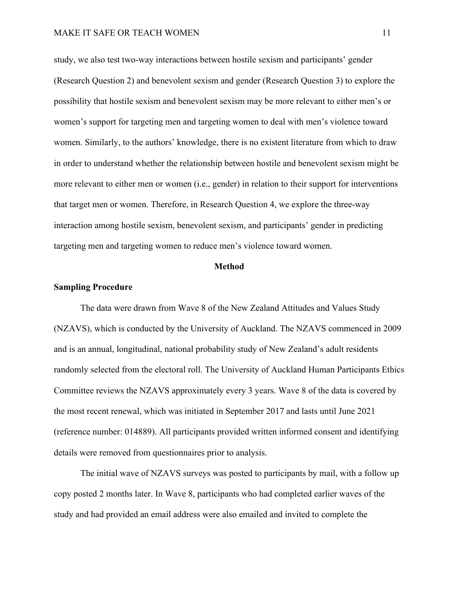study, we also test two-way interactions between hostile sexism and participants' gender (Research Question 2) and benevolent sexism and gender (Research Question 3) to explore the possibility that hostile sexism and benevolent sexism may be more relevant to either men's or women's support for targeting men and targeting women to deal with men's violence toward women. Similarly, to the authors' knowledge, there is no existent literature from which to draw in order to understand whether the relationship between hostile and benevolent sexism might be more relevant to either men or women (i.e., gender) in relation to their support for interventions that target men or women. Therefore, in Research Question 4, we explore the three-way interaction among hostile sexism, benevolent sexism, and participants' gender in predicting targeting men and targeting women to reduce men's violence toward women.

#### **Method**

## **Sampling Procedure**

The data were drawn from Wave 8 of the New Zealand Attitudes and Values Study (NZAVS), which is conducted by the University of Auckland. The NZAVS commenced in 2009 and is an annual, longitudinal, national probability study of New Zealand's adult residents randomly selected from the electoral roll. The University of Auckland Human Participants Ethics Committee reviews the NZAVS approximately every 3 years. Wave 8 of the data is covered by the most recent renewal, which was initiated in September 2017 and lasts until June 2021 (reference number: 014889). All participants provided written informed consent and identifying details were removed from questionnaires prior to analysis.

The initial wave of NZAVS surveys was posted to participants by mail, with a follow up copy posted 2 months later. In Wave 8, participants who had completed earlier waves of the study and had provided an email address were also emailed and invited to complete the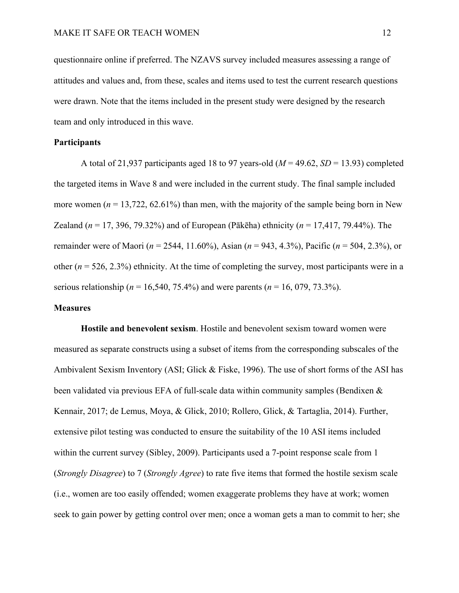questionnaire online if preferred. The NZAVS survey included measures assessing a range of attitudes and values and, from these, scales and items used to test the current research questions were drawn. Note that the items included in the present study were designed by the research team and only introduced in this wave.

# **Participants**

A total of 21,937 participants aged 18 to 97 years-old  $(M = 49.62, SD = 13.93)$  completed the targeted items in Wave 8 and were included in the current study. The final sample included more women  $(n = 13,722, 62.61\%)$  than men, with the majority of the sample being born in New Zealand (*n* = 17, 396, 79.32%) and of European (Pākēha) ethnicity (*n* = 17,417, 79.44%). The remainder were of Maori (*n* = 2544, 11.60%), Asian (*n* = 943, 4.3%), Pacific (*n* = 504, 2.3%), or other  $(n = 526, 2.3\%)$  ethnicity. At the time of completing the survey, most participants were in a serious relationship (*n* = 16,540, 75.4%) and were parents (*n* = 16, 079, 73.3%).

# **Measures**

**Hostile and benevolent sexism**. Hostile and benevolent sexism toward women were measured as separate constructs using a subset of items from the corresponding subscales of the Ambivalent Sexism Inventory (ASI; Glick & Fiske, 1996). The use of short forms of the ASI has been validated via previous EFA of full-scale data within community samples (Bendixen & Kennair, 2017; de Lemus, Moya, & Glick, 2010; Rollero, Glick, & Tartaglia, 2014). Further, extensive pilot testing was conducted to ensure the suitability of the 10 ASI items included within the current survey (Sibley, 2009). Participants used a 7-point response scale from 1 (*Strongly Disagree*) to 7 (*Strongly Agree*) to rate five items that formed the hostile sexism scale (i.e., women are too easily offended; women exaggerate problems they have at work; women seek to gain power by getting control over men; once a woman gets a man to commit to her; she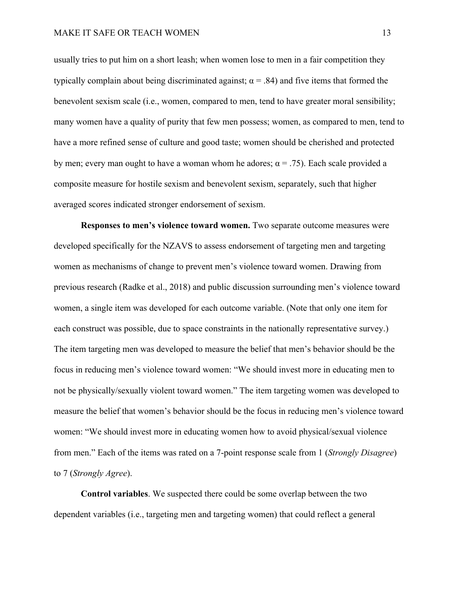usually tries to put him on a short leash; when women lose to men in a fair competition they typically complain about being discriminated against;  $\alpha$  = .84) and five items that formed the benevolent sexism scale (i.e., women, compared to men, tend to have greater moral sensibility; many women have a quality of purity that few men possess; women, as compared to men, tend to have a more refined sense of culture and good taste; women should be cherished and protected by men; every man ought to have a woman whom he adores;  $\alpha$  = .75). Each scale provided a composite measure for hostile sexism and benevolent sexism, separately, such that higher averaged scores indicated stronger endorsement of sexism.

**Responses to men's violence toward women.** Two separate outcome measures were developed specifically for the NZAVS to assess endorsement of targeting men and targeting women as mechanisms of change to prevent men's violence toward women. Drawing from previous research (Radke et al., 2018) and public discussion surrounding men's violence toward women, a single item was developed for each outcome variable. (Note that only one item for each construct was possible, due to space constraints in the nationally representative survey.) The item targeting men was developed to measure the belief that men's behavior should be the focus in reducing men's violence toward women: "We should invest more in educating men to not be physically/sexually violent toward women." The item targeting women was developed to measure the belief that women's behavior should be the focus in reducing men's violence toward women: "We should invest more in educating women how to avoid physical/sexual violence from men." Each of the items was rated on a 7-point response scale from 1 (*Strongly Disagree*) to 7 (*Strongly Agree*).

**Control variables**. We suspected there could be some overlap between the two dependent variables (i.e., targeting men and targeting women) that could reflect a general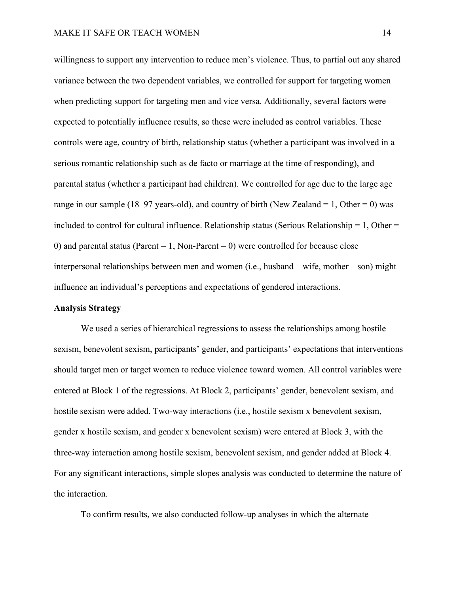willingness to support any intervention to reduce men's violence. Thus, to partial out any shared variance between the two dependent variables, we controlled for support for targeting women when predicting support for targeting men and vice versa. Additionally, several factors were expected to potentially influence results, so these were included as control variables. These controls were age, country of birth, relationship status (whether a participant was involved in a serious romantic relationship such as de facto or marriage at the time of responding), and parental status (whether a participant had children). We controlled for age due to the large age range in our sample (18–97 years-old), and country of birth (New Zealand = 1, Other = 0) was included to control for cultural influence. Relationship status (Serious Relationship  $= 1$ , Other  $=$ 0) and parental status (Parent = 1, Non-Parent = 0) were controlled for because close interpersonal relationships between men and women (i.e., husband – wife, mother – son) might influence an individual's perceptions and expectations of gendered interactions.

#### **Analysis Strategy**

We used a series of hierarchical regressions to assess the relationships among hostile sexism, benevolent sexism, participants' gender, and participants' expectations that interventions should target men or target women to reduce violence toward women. All control variables were entered at Block 1 of the regressions. At Block 2, participants' gender, benevolent sexism, and hostile sexism were added. Two-way interactions (i.e., hostile sexism x benevolent sexism, gender x hostile sexism, and gender x benevolent sexism) were entered at Block 3, with the three-way interaction among hostile sexism, benevolent sexism, and gender added at Block 4. For any significant interactions, simple slopes analysis was conducted to determine the nature of the interaction.

To confirm results, we also conducted follow-up analyses in which the alternate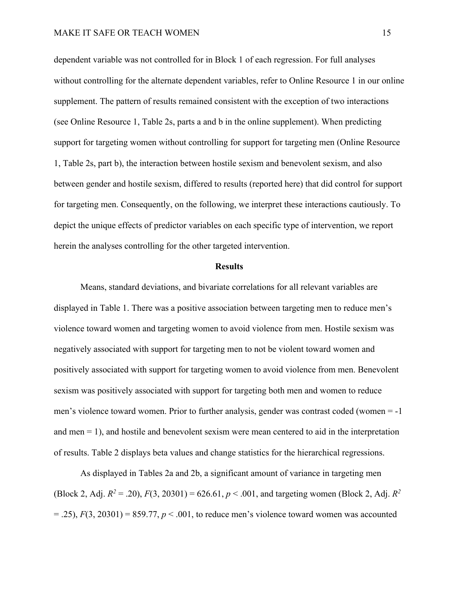dependent variable was not controlled for in Block 1 of each regression. For full analyses without controlling for the alternate dependent variables, refer to Online Resource 1 in our online supplement. The pattern of results remained consistent with the exception of two interactions (see Online Resource 1, Table 2s, parts a and b in the online supplement). When predicting support for targeting women without controlling for support for targeting men (Online Resource 1, Table 2s, part b), the interaction between hostile sexism and benevolent sexism, and also between gender and hostile sexism, differed to results (reported here) that did control for support for targeting men. Consequently, on the following, we interpret these interactions cautiously. To depict the unique effects of predictor variables on each specific type of intervention, we report herein the analyses controlling for the other targeted intervention.

### **Results**

Means, standard deviations, and bivariate correlations for all relevant variables are displayed in Table 1. There was a positive association between targeting men to reduce men's violence toward women and targeting women to avoid violence from men. Hostile sexism was negatively associated with support for targeting men to not be violent toward women and positively associated with support for targeting women to avoid violence from men. Benevolent sexism was positively associated with support for targeting both men and women to reduce men's violence toward women. Prior to further analysis, gender was contrast coded (women = -1 and men  $= 1$ ), and hostile and benevolent sexism were mean centered to aid in the interpretation of results. Table 2 displays beta values and change statistics for the hierarchical regressions.

As displayed in Tables 2a and 2b, a significant amount of variance in targeting men (Block 2, Adj.  $R^2 = .20$ ),  $F(3, 20301) = 626.61$ ,  $p < .001$ , and targeting women (Block 2, Adj.  $R^2$ )  $=$  .25),  $F(3, 20301) = 859.77$ ,  $p < .001$ , to reduce men's violence toward women was accounted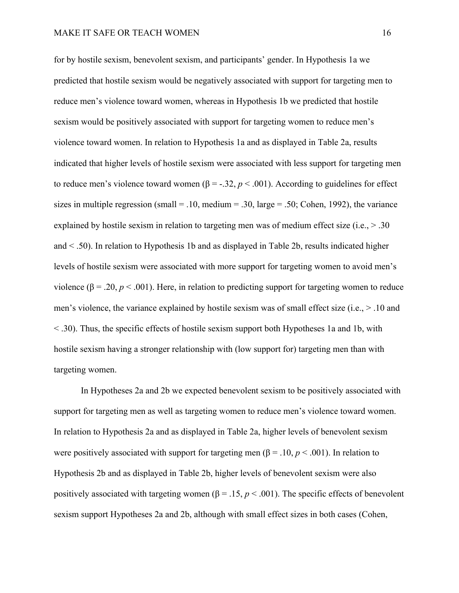for by hostile sexism, benevolent sexism, and participants' gender. In Hypothesis 1a we predicted that hostile sexism would be negatively associated with support for targeting men to reduce men's violence toward women, whereas in Hypothesis 1b we predicted that hostile sexism would be positively associated with support for targeting women to reduce men's violence toward women. In relation to Hypothesis 1a and as displayed in Table 2a, results indicated that higher levels of hostile sexism were associated with less support for targeting men to reduce men's violence toward women ( $β = -.32, p < .001$ ). According to guidelines for effect sizes in multiple regression (small  $= .10$ , medium  $= .30$ , large  $= .50$ ; Cohen, 1992), the variance explained by hostile sexism in relation to targeting men was of medium effect size (i.e.,  $> .30$ ) and < .50). In relation to Hypothesis 1b and as displayed in Table 2b, results indicated higher levels of hostile sexism were associated with more support for targeting women to avoid men's violence ( $β = .20, p < .001$ ). Here, in relation to predicting support for targeting women to reduce men's violence, the variance explained by hostile sexism was of small effect size (i.e., > .10 and < .30). Thus, the specific effects of hostile sexism support both Hypotheses 1a and 1b, with hostile sexism having a stronger relationship with (low support for) targeting men than with targeting women.

In Hypotheses 2a and 2b we expected benevolent sexism to be positively associated with support for targeting men as well as targeting women to reduce men's violence toward women. In relation to Hypothesis 2a and as displayed in Table 2a, higher levels of benevolent sexism were positively associated with support for targeting men ( $\beta = .10, p < .001$ ). In relation to Hypothesis 2b and as displayed in Table 2b, higher levels of benevolent sexism were also positively associated with targeting women ( $\beta = 0.15$ ,  $p < 0.001$ ). The specific effects of benevolent sexism support Hypotheses 2a and 2b, although with small effect sizes in both cases (Cohen,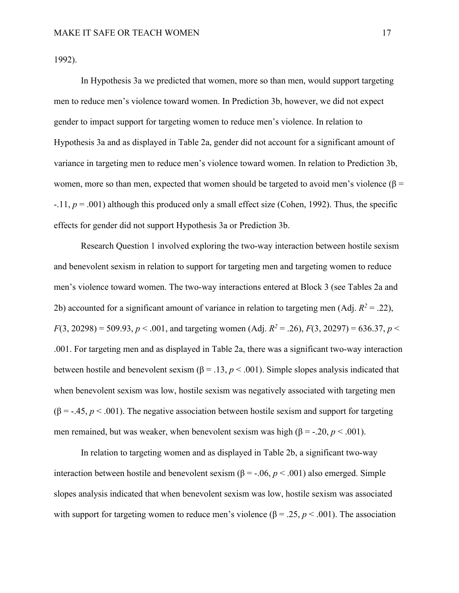1992).

In Hypothesis 3a we predicted that women, more so than men, would support targeting men to reduce men's violence toward women. In Prediction 3b, however, we did not expect gender to impact support for targeting women to reduce men's violence. In relation to Hypothesis 3a and as displayed in Table 2a, gender did not account for a significant amount of variance in targeting men to reduce men's violence toward women. In relation to Prediction 3b, women, more so than men, expected that women should be targeted to avoid men's violence ( $\beta$  =  $-11$ ,  $p = .001$ ) although this produced only a small effect size (Cohen, 1992). Thus, the specific effects for gender did not support Hypothesis 3a or Prediction 3b.

Research Question 1 involved exploring the two-way interaction between hostile sexism and benevolent sexism in relation to support for targeting men and targeting women to reduce men's violence toward women. The two-way interactions entered at Block 3 (see Tables 2a and 2b) accounted for a significant amount of variance in relation to targeting men (Adj.  $R^2 = .22$ ), *F*(3, 20298) = 509.93, *p* < .001, and targeting women (Adj.  $R^2 = .26$ ),  $F(3, 20297) = 636.37$ ,  $p \le$ .001. For targeting men and as displayed in Table 2a, there was a significant two-way interaction between hostile and benevolent sexism ( $\beta = 0.13$ ,  $p < 0.001$ ). Simple slopes analysis indicated that when benevolent sexism was low, hostile sexism was negatively associated with targeting men  $(\beta = -.45, p < .001)$ . The negative association between hostile sexism and support for targeting men remained, but was weaker, when benevolent sexism was high ( $\beta$  = -.20,  $p$  < .001).

In relation to targeting women and as displayed in Table 2b, a significant two-way interaction between hostile and benevolent sexism ( $β = -.06, p < .001$ ) also emerged. Simple slopes analysis indicated that when benevolent sexism was low, hostile sexism was associated with support for targeting women to reduce men's violence  $(\beta = .25, p < .001)$ . The association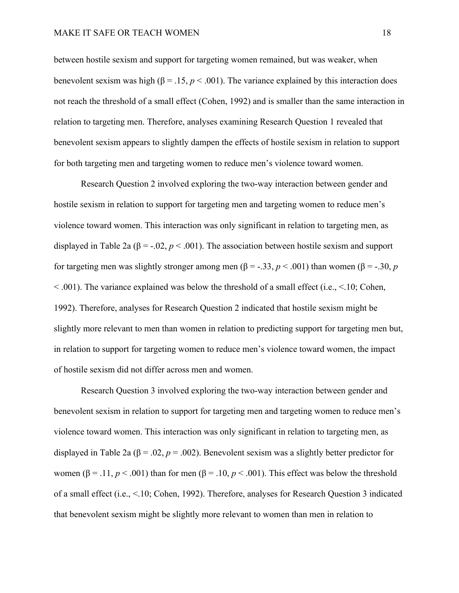between hostile sexism and support for targeting women remained, but was weaker, when benevolent sexism was high ( $\beta = 0.15$ ,  $p < 0.001$ ). The variance explained by this interaction does not reach the threshold of a small effect (Cohen, 1992) and is smaller than the same interaction in relation to targeting men. Therefore, analyses examining Research Question 1 revealed that benevolent sexism appears to slightly dampen the effects of hostile sexism in relation to support for both targeting men and targeting women to reduce men's violence toward women.

Research Question 2 involved exploring the two-way interaction between gender and hostile sexism in relation to support for targeting men and targeting women to reduce men's violence toward women. This interaction was only significant in relation to targeting men, as displayed in Table 2a ( $\beta$  = -.02,  $p < .001$ ). The association between hostile sexism and support for targeting men was slightly stronger among men ( $\beta$  = -.33, *p* < .001) than women ( $\beta$  = -.30, *p*  $\leq$  0.01). The variance explained was below the threshold of a small effect (i.e.,  $\leq$  10; Cohen, 1992). Therefore, analyses for Research Question 2 indicated that hostile sexism might be slightly more relevant to men than women in relation to predicting support for targeting men but, in relation to support for targeting women to reduce men's violence toward women, the impact of hostile sexism did not differ across men and women.

Research Question 3 involved exploring the two-way interaction between gender and benevolent sexism in relation to support for targeting men and targeting women to reduce men's violence toward women. This interaction was only significant in relation to targeting men, as displayed in Table 2a ( $\beta$  = .02,  $p$  = .002). Benevolent sexism was a slightly better predictor for women ( $\beta$  = .11, *p* < .001) than for men ( $\beta$  = .10, *p* < .001). This effect was below the threshold of a small effect (i.e., <.10; Cohen, 1992). Therefore, analyses for Research Question 3 indicated that benevolent sexism might be slightly more relevant to women than men in relation to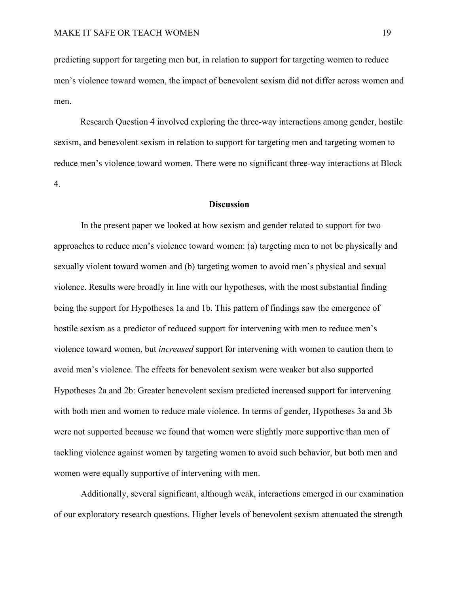predicting support for targeting men but, in relation to support for targeting women to reduce men's violence toward women, the impact of benevolent sexism did not differ across women and men.

Research Question 4 involved exploring the three-way interactions among gender, hostile sexism, and benevolent sexism in relation to support for targeting men and targeting women to reduce men's violence toward women. There were no significant three-way interactions at Block 4.

# **Discussion**

In the present paper we looked at how sexism and gender related to support for two approaches to reduce men's violence toward women: (a) targeting men to not be physically and sexually violent toward women and (b) targeting women to avoid men's physical and sexual violence. Results were broadly in line with our hypotheses, with the most substantial finding being the support for Hypotheses 1a and 1b. This pattern of findings saw the emergence of hostile sexism as a predictor of reduced support for intervening with men to reduce men's violence toward women, but *increased* support for intervening with women to caution them to avoid men's violence. The effects for benevolent sexism were weaker but also supported Hypotheses 2a and 2b: Greater benevolent sexism predicted increased support for intervening with both men and women to reduce male violence. In terms of gender, Hypotheses 3a and 3b were not supported because we found that women were slightly more supportive than men of tackling violence against women by targeting women to avoid such behavior, but both men and women were equally supportive of intervening with men.

Additionally, several significant, although weak, interactions emerged in our examination of our exploratory research questions. Higher levels of benevolent sexism attenuated the strength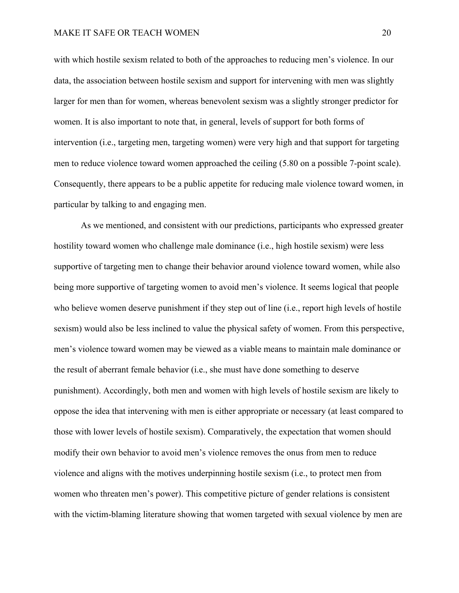with which hostile sexism related to both of the approaches to reducing men's violence. In our data, the association between hostile sexism and support for intervening with men was slightly larger for men than for women, whereas benevolent sexism was a slightly stronger predictor for women. It is also important to note that, in general, levels of support for both forms of intervention (i.e., targeting men, targeting women) were very high and that support for targeting men to reduce violence toward women approached the ceiling (5.80 on a possible 7-point scale). Consequently, there appears to be a public appetite for reducing male violence toward women, in particular by talking to and engaging men.

As we mentioned, and consistent with our predictions, participants who expressed greater hostility toward women who challenge male dominance (i.e., high hostile sexism) were less supportive of targeting men to change their behavior around violence toward women, while also being more supportive of targeting women to avoid men's violence. It seems logical that people who believe women deserve punishment if they step out of line (i.e., report high levels of hostile sexism) would also be less inclined to value the physical safety of women. From this perspective, men's violence toward women may be viewed as a viable means to maintain male dominance or the result of aberrant female behavior (i.e., she must have done something to deserve punishment). Accordingly, both men and women with high levels of hostile sexism are likely to oppose the idea that intervening with men is either appropriate or necessary (at least compared to those with lower levels of hostile sexism). Comparatively, the expectation that women should modify their own behavior to avoid men's violence removes the onus from men to reduce violence and aligns with the motives underpinning hostile sexism (i.e., to protect men from women who threaten men's power). This competitive picture of gender relations is consistent with the victim-blaming literature showing that women targeted with sexual violence by men are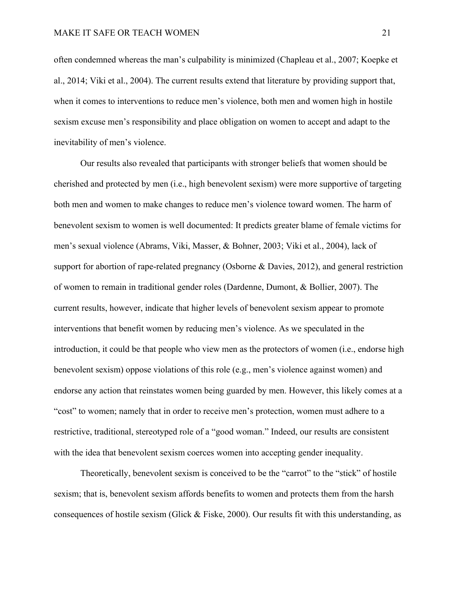often condemned whereas the man's culpability is minimized (Chapleau et al., 2007; Koepke et al., 2014; Viki et al., 2004). The current results extend that literature by providing support that, when it comes to interventions to reduce men's violence, both men and women high in hostile sexism excuse men's responsibility and place obligation on women to accept and adapt to the inevitability of men's violence.

Our results also revealed that participants with stronger beliefs that women should be cherished and protected by men (i.e., high benevolent sexism) were more supportive of targeting both men and women to make changes to reduce men's violence toward women. The harm of benevolent sexism to women is well documented: It predicts greater blame of female victims for men's sexual violence (Abrams, Viki, Masser, & Bohner, 2003; Viki et al., 2004), lack of support for abortion of rape-related pregnancy (Osborne & Davies, 2012), and general restriction of women to remain in traditional gender roles (Dardenne, Dumont, & Bollier, 2007). The current results, however, indicate that higher levels of benevolent sexism appear to promote interventions that benefit women by reducing men's violence. As we speculated in the introduction, it could be that people who view men as the protectors of women (i.e., endorse high benevolent sexism) oppose violations of this role (e.g., men's violence against women) and endorse any action that reinstates women being guarded by men. However, this likely comes at a "cost" to women; namely that in order to receive men's protection, women must adhere to a restrictive, traditional, stereotyped role of a "good woman." Indeed, our results are consistent with the idea that benevolent sexism coerces women into accepting gender inequality.

Theoretically, benevolent sexism is conceived to be the "carrot" to the "stick" of hostile sexism; that is, benevolent sexism affords benefits to women and protects them from the harsh consequences of hostile sexism (Glick & Fiske, 2000). Our results fit with this understanding, as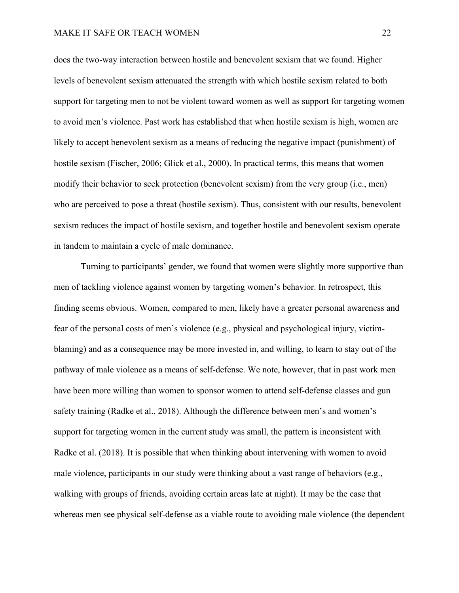does the two-way interaction between hostile and benevolent sexism that we found. Higher levels of benevolent sexism attenuated the strength with which hostile sexism related to both support for targeting men to not be violent toward women as well as support for targeting women to avoid men's violence. Past work has established that when hostile sexism is high, women are likely to accept benevolent sexism as a means of reducing the negative impact (punishment) of hostile sexism (Fischer, 2006; Glick et al., 2000). In practical terms, this means that women modify their behavior to seek protection (benevolent sexism) from the very group (i.e., men) who are perceived to pose a threat (hostile sexism). Thus, consistent with our results, benevolent sexism reduces the impact of hostile sexism, and together hostile and benevolent sexism operate in tandem to maintain a cycle of male dominance.

Turning to participants' gender, we found that women were slightly more supportive than men of tackling violence against women by targeting women's behavior. In retrospect, this finding seems obvious. Women, compared to men, likely have a greater personal awareness and fear of the personal costs of men's violence (e.g., physical and psychological injury, victimblaming) and as a consequence may be more invested in, and willing, to learn to stay out of the pathway of male violence as a means of self-defense. We note, however, that in past work men have been more willing than women to sponsor women to attend self-defense classes and gun safety training (Radke et al., 2018). Although the difference between men's and women's support for targeting women in the current study was small, the pattern is inconsistent with Radke et al. (2018). It is possible that when thinking about intervening with women to avoid male violence, participants in our study were thinking about a vast range of behaviors (e.g., walking with groups of friends, avoiding certain areas late at night). It may be the case that whereas men see physical self-defense as a viable route to avoiding male violence (the dependent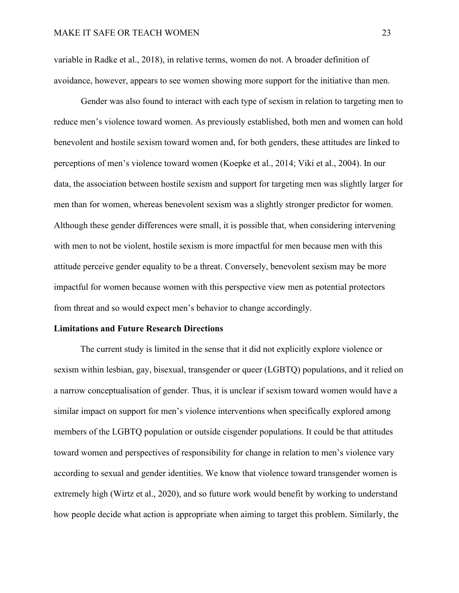variable in Radke et al., 2018), in relative terms, women do not. A broader definition of avoidance, however, appears to see women showing more support for the initiative than men.

Gender was also found to interact with each type of sexism in relation to targeting men to reduce men's violence toward women. As previously established, both men and women can hold benevolent and hostile sexism toward women and, for both genders, these attitudes are linked to perceptions of men's violence toward women (Koepke et al., 2014; Viki et al., 2004). In our data, the association between hostile sexism and support for targeting men was slightly larger for men than for women, whereas benevolent sexism was a slightly stronger predictor for women. Although these gender differences were small, it is possible that, when considering intervening with men to not be violent, hostile sexism is more impactful for men because men with this attitude perceive gender equality to be a threat. Conversely, benevolent sexism may be more impactful for women because women with this perspective view men as potential protectors from threat and so would expect men's behavior to change accordingly.

#### **Limitations and Future Research Directions**

The current study is limited in the sense that it did not explicitly explore violence or sexism within lesbian, gay, bisexual, transgender or queer (LGBTQ) populations, and it relied on a narrow conceptualisation of gender. Thus, it is unclear if sexism toward women would have a similar impact on support for men's violence interventions when specifically explored among members of the LGBTQ population or outside cisgender populations. It could be that attitudes toward women and perspectives of responsibility for change in relation to men's violence vary according to sexual and gender identities. We know that violence toward transgender women is extremely high (Wirtz et al., 2020), and so future work would benefit by working to understand how people decide what action is appropriate when aiming to target this problem. Similarly, the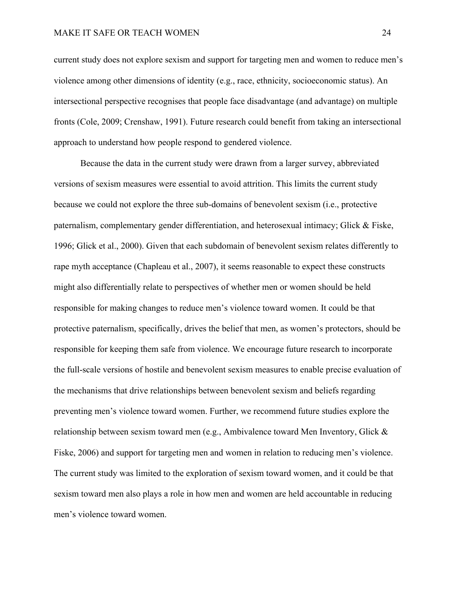current study does not explore sexism and support for targeting men and women to reduce men's violence among other dimensions of identity (e.g., race, ethnicity, socioeconomic status). An intersectional perspective recognises that people face disadvantage (and advantage) on multiple fronts (Cole, 2009; Crenshaw, 1991). Future research could benefit from taking an intersectional approach to understand how people respond to gendered violence.

Because the data in the current study were drawn from a larger survey, abbreviated versions of sexism measures were essential to avoid attrition. This limits the current study because we could not explore the three sub-domains of benevolent sexism (i.e., protective paternalism, complementary gender differentiation, and heterosexual intimacy; Glick & Fiske, 1996; Glick et al., 2000). Given that each subdomain of benevolent sexism relates differently to rape myth acceptance (Chapleau et al., 2007), it seems reasonable to expect these constructs might also differentially relate to perspectives of whether men or women should be held responsible for making changes to reduce men's violence toward women. It could be that protective paternalism, specifically, drives the belief that men, as women's protectors, should be responsible for keeping them safe from violence. We encourage future research to incorporate the full-scale versions of hostile and benevolent sexism measures to enable precise evaluation of the mechanisms that drive relationships between benevolent sexism and beliefs regarding preventing men's violence toward women. Further, we recommend future studies explore the relationship between sexism toward men (e.g., Ambivalence toward Men Inventory, Glick & Fiske, 2006) and support for targeting men and women in relation to reducing men's violence. The current study was limited to the exploration of sexism toward women, and it could be that sexism toward men also plays a role in how men and women are held accountable in reducing men's violence toward women.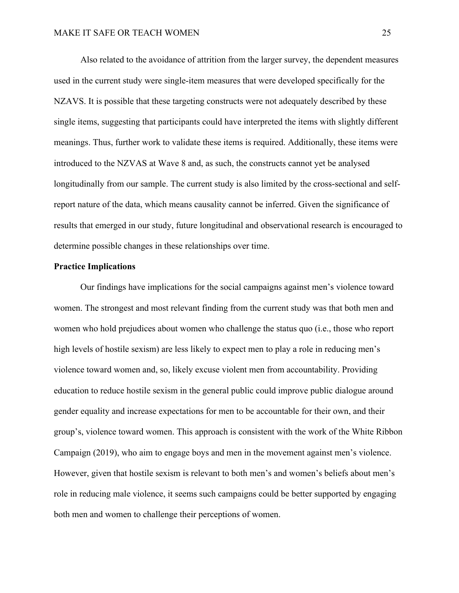Also related to the avoidance of attrition from the larger survey, the dependent measures used in the current study were single-item measures that were developed specifically for the NZAVS. It is possible that these targeting constructs were not adequately described by these single items, suggesting that participants could have interpreted the items with slightly different meanings. Thus, further work to validate these items is required. Additionally, these items were introduced to the NZVAS at Wave 8 and, as such, the constructs cannot yet be analysed longitudinally from our sample. The current study is also limited by the cross-sectional and selfreport nature of the data, which means causality cannot be inferred. Given the significance of results that emerged in our study, future longitudinal and observational research is encouraged to determine possible changes in these relationships over time.

# **Practice Implications**

Our findings have implications for the social campaigns against men's violence toward women. The strongest and most relevant finding from the current study was that both men and women who hold prejudices about women who challenge the status quo (i.e., those who report high levels of hostile sexism) are less likely to expect men to play a role in reducing men's violence toward women and, so, likely excuse violent men from accountability. Providing education to reduce hostile sexism in the general public could improve public dialogue around gender equality and increase expectations for men to be accountable for their own, and their group's, violence toward women. This approach is consistent with the work of the White Ribbon Campaign (2019), who aim to engage boys and men in the movement against men's violence. However, given that hostile sexism is relevant to both men's and women's beliefs about men's role in reducing male violence, it seems such campaigns could be better supported by engaging both men and women to challenge their perceptions of women.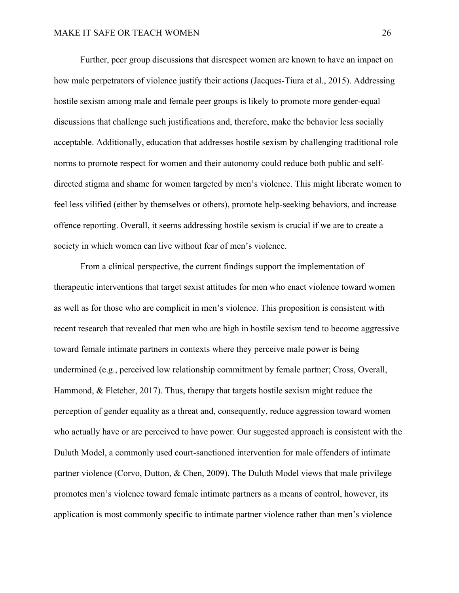Further, peer group discussions that disrespect women are known to have an impact on how male perpetrators of violence justify their actions (Jacques-Tiura et al., 2015). Addressing hostile sexism among male and female peer groups is likely to promote more gender-equal discussions that challenge such justifications and, therefore, make the behavior less socially acceptable. Additionally, education that addresses hostile sexism by challenging traditional role norms to promote respect for women and their autonomy could reduce both public and selfdirected stigma and shame for women targeted by men's violence. This might liberate women to feel less vilified (either by themselves or others), promote help-seeking behaviors, and increase offence reporting. Overall, it seems addressing hostile sexism is crucial if we are to create a society in which women can live without fear of men's violence.

From a clinical perspective, the current findings support the implementation of therapeutic interventions that target sexist attitudes for men who enact violence toward women as well as for those who are complicit in men's violence. This proposition is consistent with recent research that revealed that men who are high in hostile sexism tend to become aggressive toward female intimate partners in contexts where they perceive male power is being undermined (e.g., perceived low relationship commitment by female partner; Cross, Overall, Hammond, & Fletcher, 2017). Thus, therapy that targets hostile sexism might reduce the perception of gender equality as a threat and, consequently, reduce aggression toward women who actually have or are perceived to have power. Our suggested approach is consistent with the Duluth Model, a commonly used court-sanctioned intervention for male offenders of intimate partner violence (Corvo, Dutton, & Chen, 2009). The Duluth Model views that male privilege promotes men's violence toward female intimate partners as a means of control, however, its application is most commonly specific to intimate partner violence rather than men's violence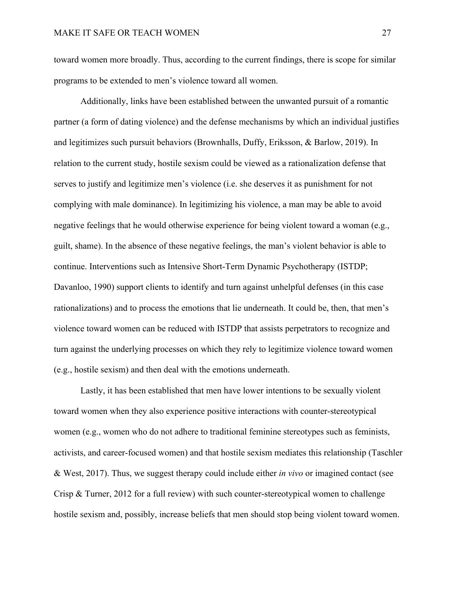toward women more broadly. Thus, according to the current findings, there is scope for similar programs to be extended to men's violence toward all women.

Additionally, links have been established between the unwanted pursuit of a romantic partner (a form of dating violence) and the defense mechanisms by which an individual justifies and legitimizes such pursuit behaviors (Brownhalls, Duffy, Eriksson, & Barlow, 2019). In relation to the current study, hostile sexism could be viewed as a rationalization defense that serves to justify and legitimize men's violence (i.e. she deserves it as punishment for not complying with male dominance). In legitimizing his violence, a man may be able to avoid negative feelings that he would otherwise experience for being violent toward a woman (e.g., guilt, shame). In the absence of these negative feelings, the man's violent behavior is able to continue. Interventions such as Intensive Short-Term Dynamic Psychotherapy (ISTDP; Davanloo, 1990) support clients to identify and turn against unhelpful defenses (in this case rationalizations) and to process the emotions that lie underneath. It could be, then, that men's violence toward women can be reduced with ISTDP that assists perpetrators to recognize and turn against the underlying processes on which they rely to legitimize violence toward women (e.g., hostile sexism) and then deal with the emotions underneath.

Lastly, it has been established that men have lower intentions to be sexually violent toward women when they also experience positive interactions with counter-stereotypical women (e.g., women who do not adhere to traditional feminine stereotypes such as feminists, activists, and career-focused women) and that hostile sexism mediates this relationship (Taschler & West, 2017). Thus, we suggest therapy could include either *in vivo* or imagined contact (see Crisp & Turner, 2012 for a full review) with such counter-stereotypical women to challenge hostile sexism and, possibly, increase beliefs that men should stop being violent toward women.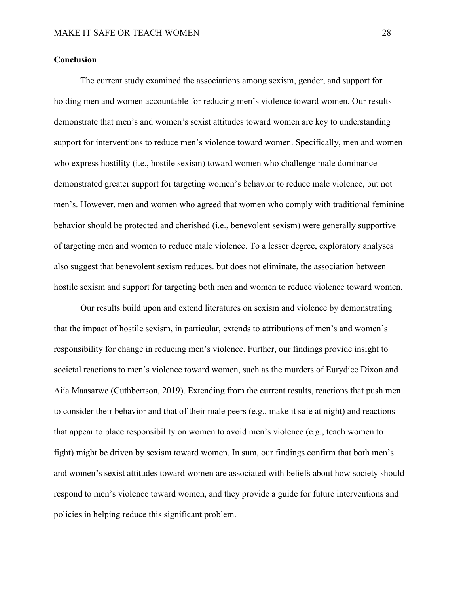# **Conclusion**

The current study examined the associations among sexism, gender, and support for holding men and women accountable for reducing men's violence toward women. Our results demonstrate that men's and women's sexist attitudes toward women are key to understanding support for interventions to reduce men's violence toward women. Specifically, men and women who express hostility (i.e., hostile sexism) toward women who challenge male dominance demonstrated greater support for targeting women's behavior to reduce male violence, but not men's. However, men and women who agreed that women who comply with traditional feminine behavior should be protected and cherished (i.e., benevolent sexism) were generally supportive of targeting men and women to reduce male violence. To a lesser degree, exploratory analyses also suggest that benevolent sexism reduces. but does not eliminate, the association between hostile sexism and support for targeting both men and women to reduce violence toward women.

Our results build upon and extend literatures on sexism and violence by demonstrating that the impact of hostile sexism, in particular, extends to attributions of men's and women's responsibility for change in reducing men's violence. Further, our findings provide insight to societal reactions to men's violence toward women, such as the murders of Eurydice Dixon and Aiia Maasarwe (Cuthbertson, 2019). Extending from the current results, reactions that push men to consider their behavior and that of their male peers (e.g., make it safe at night) and reactions that appear to place responsibility on women to avoid men's violence (e.g., teach women to fight) might be driven by sexism toward women. In sum, our findings confirm that both men's and women's sexist attitudes toward women are associated with beliefs about how society should respond to men's violence toward women, and they provide a guide for future interventions and policies in helping reduce this significant problem.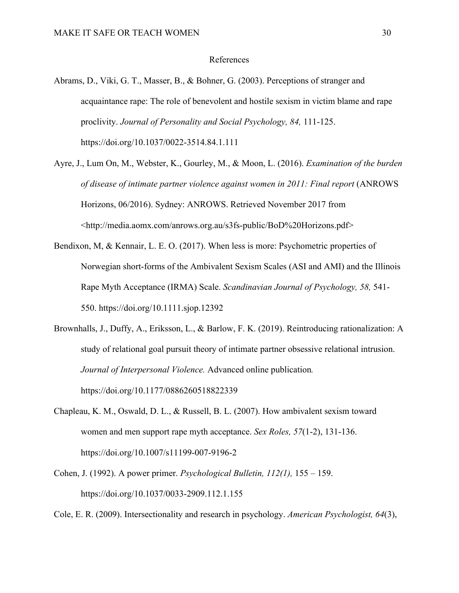#### References

- Abrams, D., Viki, G. T., Masser, B., & Bohner, G. (2003). Perceptions of stranger and acquaintance rape: The role of benevolent and hostile sexism in victim blame and rape proclivity. *Journal of Personality and Social Psychology, 84,* 111-125. https://doi.org/10.1037/0022-3514.84.1.111
- Ayre, J., Lum On, M., Webster, K., Gourley, M., & Moon, L. (2016). *Examination of the burden of disease of intimate partner violence against women in 2011: Final report* (ANROWS Horizons, 06/2016). Sydney: ANROWS. Retrieved November 2017 from <http://media.aomx.com/anrows.org.au/s3fs-public/BoD%20Horizons.pdf>
- Bendixon, M, & Kennair, L. E. O. (2017). When less is more: Psychometric properties of Norwegian short-forms of the Ambivalent Sexism Scales (ASI and AMI) and the Illinois Rape Myth Acceptance (IRMA) Scale. *Scandinavian Journal of Psychology, 58,* 541- 550. https://doi.org/10.1111.sjop.12392
- Brownhalls, J., Duffy, A., Eriksson, L., & Barlow, F. K. (2019). Reintroducing rationalization: A study of relational goal pursuit theory of intimate partner obsessive relational intrusion. *Journal of Interpersonal Violence.* Advanced online publication*.* https://doi.org/10.1177/0886260518822339
- Chapleau, K. M., Oswald, D. L., & Russell, B. L. (2007). How ambivalent sexism toward women and men support rape myth acceptance. *Sex Roles, 57*(1-2), 131-136. https://doi.org/10.1007/s11199-007-9196-2
- Cohen, J. (1992). A power primer. *Psychological Bulletin, 112(1),* 155 159. https://doi.org/10.1037/0033-2909.112.1.155

Cole, E. R. (2009). Intersectionality and research in psychology. *American Psychologist, 64*(3),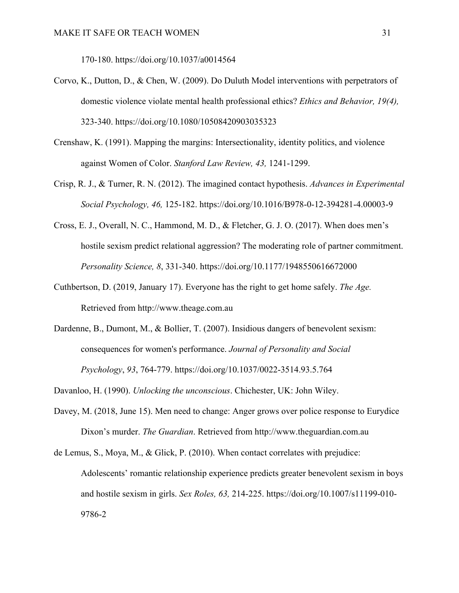170-180. https://doi.org/10.1037/a0014564

- Corvo, K., Dutton, D., & Chen, W. (2009). Do Duluth Model interventions with perpetrators of domestic violence violate mental health professional ethics? *Ethics and Behavior, 19(4),* 323-340. https://doi.org/10.1080/10508420903035323
- Crenshaw, K. (1991). Mapping the margins: Intersectionality, identity politics, and violence against Women of Color. *Stanford Law Review, 43,* 1241-1299.
- Crisp, R. J., & Turner, R. N. (2012). The imagined contact hypothesis. *Advances in Experimental Social Psychology, 46,* 125-182. https://doi.org/10.1016/B978-0-12-394281-4.00003-9
- Cross, E. J., Overall, N. C., Hammond, M. D., & Fletcher, G. J. O. (2017). When does men's hostile sexism predict relational aggression? The moderating role of partner commitment. *Personality Science, 8*, 331-340. https://doi.org/10.1177/1948550616672000
- Cuthbertson, D. (2019, January 17). Everyone has the right to get home safely. *The Age.* Retrieved from http://www.theage.com.au
- Dardenne, B., Dumont, M., & Bollier, T. (2007). Insidious dangers of benevolent sexism: consequences for women's performance. *Journal of Personality and Social Psychology*, *93*, 764-779. https://doi.org/10.1037/0022-3514.93.5.764

Davanloo, H. (1990). *Unlocking the unconscious*. Chichester, UK: John Wiley.

- Davey, M. (2018, June 15). Men need to change: Anger grows over police response to Eurydice Dixon's murder. *The Guardian*. Retrieved from http://www.theguardian.com.au
- de Lemus, S., Moya, M., & Glick, P. (2010). When contact correlates with prejudice: Adolescents' romantic relationship experience predicts greater benevolent sexism in boys and hostile sexism in girls. *Sex Roles, 63,* 214-225. https://doi.org/10.1007/s11199-010- 9786-2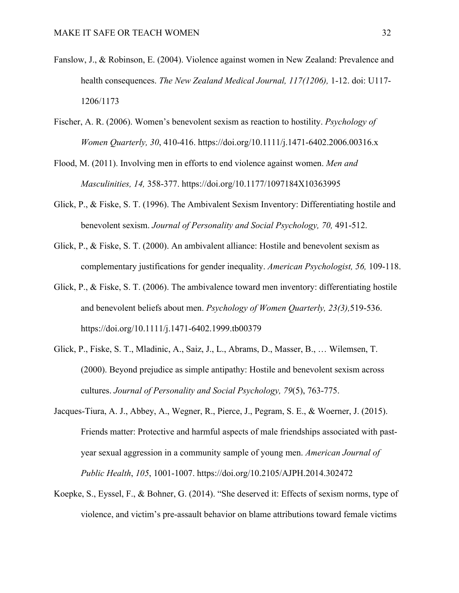- Fanslow, J., & Robinson, E. (2004). Violence against women in New Zealand: Prevalence and health consequences. *The New Zealand Medical Journal, 117(1206),* 1-12. doi: U117- 1206/1173
- Fischer, A. R. (2006). Women's benevolent sexism as reaction to hostility. *Psychology of Women Quarterly, 30*, 410-416. https://doi.org/10.1111/j.1471-6402.2006.00316.x
- Flood, M. (2011). Involving men in efforts to end violence against women. *Men and Masculinities, 14,* 358-377. https://doi.org/10.1177/1097184X10363995
- Glick, P., & Fiske, S. T. (1996). The Ambivalent Sexism Inventory: Differentiating hostile and benevolent sexism. *Journal of Personality and Social Psychology, 70,* 491-512.
- Glick, P., & Fiske, S. T. (2000). An ambivalent alliance: Hostile and benevolent sexism as complementary justifications for gender inequality. *American Psychologist, 56,* 109-118.
- Glick, P., & Fiske, S. T. (2006). The ambivalence toward men inventory: differentiating hostile and benevolent beliefs about men. *Psychology of Women Quarterly, 23(3),*519-536. https://doi.org/10.1111/j.1471-6402.1999.tb00379
- Glick, P., Fiske, S. T., Mladinic, A., Saiz, J., L., Abrams, D., Masser, B., … Wilemsen, T. (2000). Beyond prejudice as simple antipathy: Hostile and benevolent sexism across cultures. *Journal of Personality and Social Psychology, 79*(5), 763-775.
- Jacques-Tiura, A. J., Abbey, A., Wegner, R., Pierce, J., Pegram, S. E., & Woerner, J. (2015). Friends matter: Protective and harmful aspects of male friendships associated with pastyear sexual aggression in a community sample of young men. *American Journal of Public Health*, *105*, 1001-1007. https://doi.org/10.2105/AJPH.2014.302472
- Koepke, S., Eyssel, F., & Bohner, G. (2014). "She deserved it: Effects of sexism norms, type of violence, and victim's pre-assault behavior on blame attributions toward female victims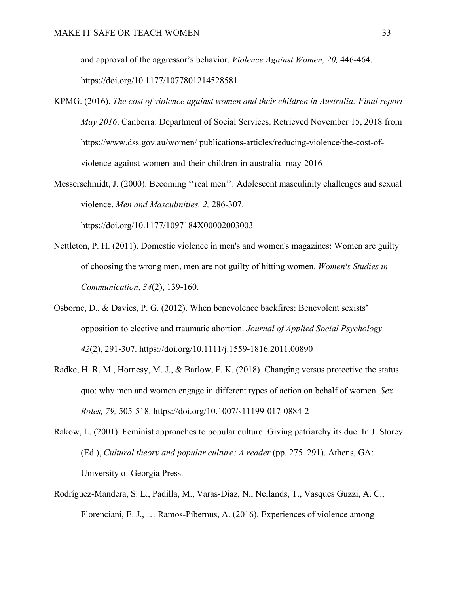and approval of the aggressor's behavior. *Violence Against Women, 20,* 446-464.

https://doi.org/10.1177/1077801214528581

- KPMG. (2016). *The cost of violence against women and their children in Australia: Final report May 2016*. Canberra: Department of Social Services. Retrieved November 15, 2018 from https://www.dss.gov.au/women/ publications-articles/reducing-violence/the-cost-ofviolence-against-women-and-their-children-in-australia- may-2016
- Messerschmidt, J. (2000). Becoming ''real men'': Adolescent masculinity challenges and sexual violence. *Men and Masculinities, 2,* 286-307.

https://doi.org/10.1177/1097184X00002003003

- Nettleton, P. H. (2011). Domestic violence in men's and women's magazines: Women are guilty of choosing the wrong men, men are not guilty of hitting women. *Women's Studies in Communication*, *34*(2), 139-160.
- Osborne, D., & Davies, P. G. (2012). When benevolence backfires: Benevolent sexists' opposition to elective and traumatic abortion. *Journal of Applied Social Psychology, 42*(2), 291-307. https://doi.org/10.1111/j.1559-1816.2011.00890
- Radke, H. R. M., Hornesy, M. J., & Barlow, F. K. (2018). Changing versus protective the status quo: why men and women engage in different types of action on behalf of women. *Sex Roles, 79,* 505-518. https://doi.org/10.1007/s11199-017-0884-2
- Rakow, L. (2001). Feminist approaches to popular culture: Giving patriarchy its due. In J. Storey (Ed.), *Cultural theory and popular culture: A reader* (pp. 275–291). Athens, GA: University of Georgia Press.
- Rodríguez-Mandera, S. L., Padilla, M., Varas-Díaz, N., Neilands, T., Vasques Guzzi, A. C., Florenciani, E. J., … Ramos-Pibernus, A. (2016). Experiences of violence among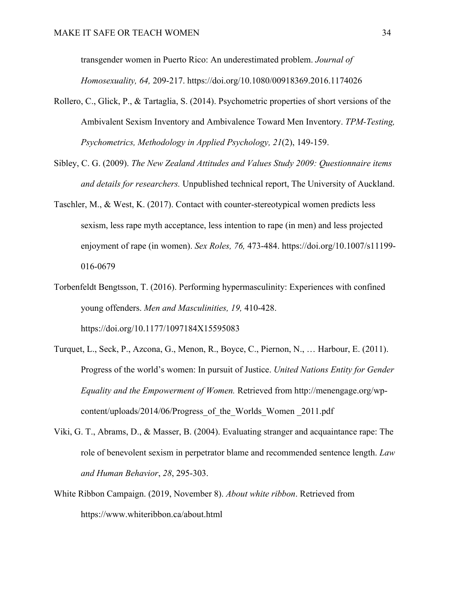transgender women in Puerto Rico: An underestimated problem. *Journal of Homosexuality, 64,* 209-217. https://doi.org/10.1080/00918369.2016.1174026

- Rollero, C., Glick, P., & Tartaglia, S. (2014). Psychometric properties of short versions of the Ambivalent Sexism Inventory and Ambivalence Toward Men Inventory. *TPM-Testing, Psychometrics, Methodology in Applied Psychology, 21*(2), 149-159.
- Sibley, C. G. (2009). *The New Zealand Attitudes and Values Study 2009: Questionnaire items and details for researchers.* Unpublished technical report, The University of Auckland.
- Taschler, M., & West, K. (2017). Contact with counter-stereotypical women predicts less sexism, less rape myth acceptance, less intention to rape (in men) and less projected enjoyment of rape (in women). *Sex Roles, 76,* 473-484. https://doi.org/10.1007/s11199- 016-0679
- Torbenfeldt Bengtsson, T. (2016). Performing hypermasculinity: Experiences with confined young offenders. *Men and Masculinities, 19,* 410-428. https://doi.org/10.1177/1097184X15595083
- Turquet, L., Seck, P., Azcona, G., Menon, R., Boyce, C., Piernon, N., … Harbour, E. (2011). Progress of the world's women: In pursuit of Justice. *United Nations Entity for Gender Equality and the Empowerment of Women.* Retrieved from http://menengage.org/wpcontent/uploads/2014/06/Progress\_of\_the\_Worlds\_Women \_2011.pdf
- Viki, G. T., Abrams, D., & Masser, B. (2004). Evaluating stranger and acquaintance rape: The role of benevolent sexism in perpetrator blame and recommended sentence length. *Law and Human Behavior*, *28*, 295-303.
- White Ribbon Campaign. (2019, November 8). *About white ribbon*. Retrieved from https://www.whiteribbon.ca/about.html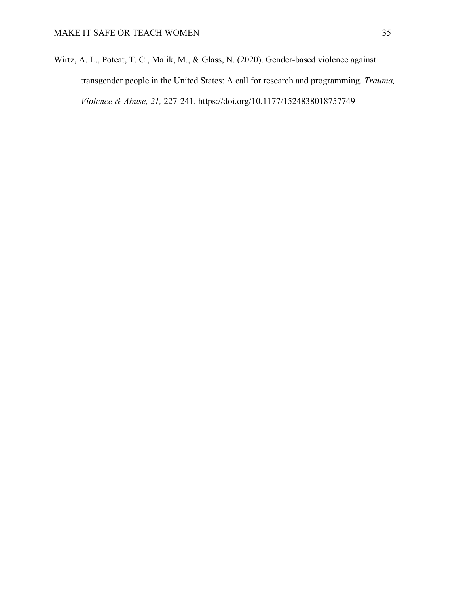Wirtz, A. L., Poteat, T. C., Malik, M., & Glass, N. (2020). Gender-based violence against transgender people in the United States: A call for research and programming. *Trauma, Violence & Abuse, 21,* 227-241. https://doi.org/10.1177/1524838018757749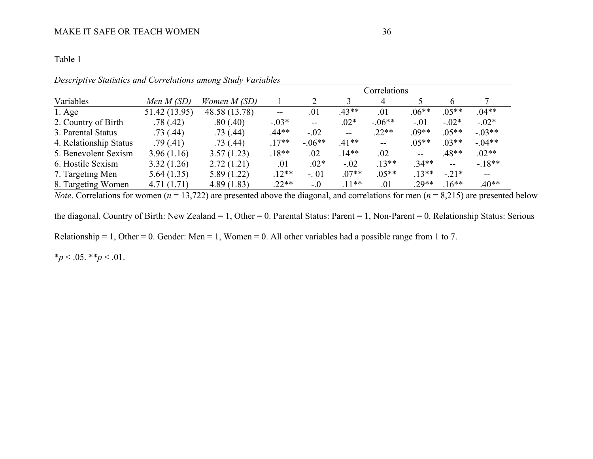# Table 1

|                        |               |               | Correlations |            |                   |                   |                   |         |          |
|------------------------|---------------|---------------|--------------|------------|-------------------|-------------------|-------------------|---------|----------|
| Variables              | Men $M(SD)$   | Women $M(SD)$ |              |            |                   | 4                 |                   |         |          |
| $1. \text{Age}$        | 51.42 (13.95) | 48.58 (13.78) | $--$         | .01        | $.43**$           | .01               | $.06**$           | $.05**$ | $.04**$  |
| 2. Country of Birth    | .78(.42)      | .80(.40)      | $-.03*$      | $\sim$ $-$ | $.02*$            | $-.06**$          | $-.01$            | $-.02*$ | $-.02*$  |
| 3. Parental Status     | .73(.44)      | .73(.44)      | .44**        | $-.02$     | $\qquad \qquad -$ | $.22**$           | $.09**$           | $.05**$ | $-.03**$ |
| 4. Relationship Status | .79(.41)      | .73(.44)      | $.17**$      | $-.06**$   | $.41**$           | $\qquad \qquad -$ | $.05**$           | $.03**$ | $-.04**$ |
| 5. Benevolent Sexism   | 3.96(1.16)    | 3.57(1.23)    | $.18**$      | .02        | $.14**$           | .02               | $\qquad \qquad -$ | $.48**$ | $.02**$  |
| 6. Hostile Sexism      | 3.32(1.26)    | 2.72(1.21)    | .01          | $.02*$     | $-.02$            | $.13**$           | $.34**$           | $- -$   | $-18**$  |
| 7. Targeting Men       | 5.64(1.35)    | 5.89(1.22)    | $.12**$      | $-.01$     | $.07**$           | $.05**$           | $.13**$           | $-.21*$ | $-$      |
| 8. Targeting Women     | 4.71(1.71)    | 4.89(1.83)    | $.22**$      | $-0$       | $.11**$           | .01               | $.29**$           | $.16**$ | $.40**$  |

*Descriptive Statistics and Correlations among Study Variables*

*Note*. Correlations for women ( $n = 13,722$ ) are presented above the diagonal, and correlations for men ( $n = 8,215$ ) are presented below

the diagonal. Country of Birth: New Zealand = 1, Other = 0. Parental Status: Parent = 1, Non-Parent = 0. Relationship Status: Serious

Relationship = 1, Other = 0. Gender: Men = 1, Women = 0. All other variables had a possible range from 1 to 7.

 $*_{p}$  < .05.  $*_{p}$  < .01.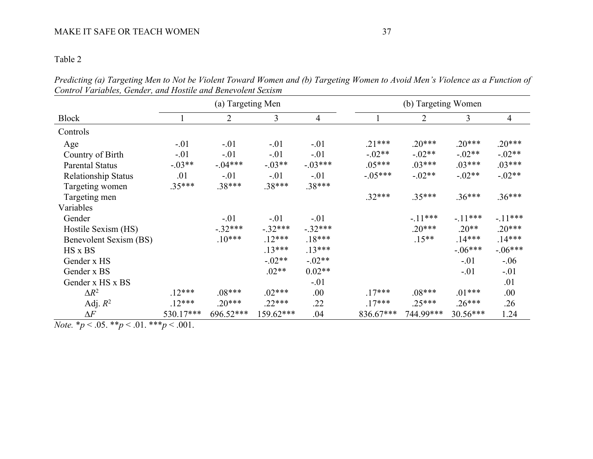# MAKE IT SAFE OR TEACH WOMEN 37

# Table 2

*Predicting (a) Targeting Men to Not be Violent Toward Women and (b) Targeting Women to Avoid Men's Violence as a Function of Control Variables, Gender, and Hostile and Benevolent Sexism*

|                            |           | (a) Targeting Men |                |           |           |                |            |           |
|----------------------------|-----------|-------------------|----------------|-----------|-----------|----------------|------------|-----------|
| <b>Block</b>               |           | $\overline{2}$    | $\overline{3}$ | 4         |           | $\overline{2}$ | 3          | 4         |
| Controls                   |           |                   |                |           |           |                |            |           |
| Age                        | $-.01$    | $-.01$            | $-.01$         | $-.01$    | $.21***$  | $.20***$       | $.20***$   | $.20***$  |
| Country of Birth           | $-.01$    | $-.01$            | $-.01$         | $-.01$    | $-.02**$  | $-.02**$       | $-.02**$   | $-.02**$  |
| <b>Parental Status</b>     | $-.03**$  | $-.04***$         | $-.03**$       | $-.03***$ | $.05***$  | $.03***$       | $.03***$   | $.03***$  |
| <b>Relationship Status</b> | .01       | $-.01$            | $-.01$         | $-.01$    | $-.05***$ | $-.02**$       | $-.02**$   | $-.02**$  |
| Targeting women            | $.35***$  | $.38***$          | $.38***$       | $.38***$  |           |                |            |           |
| Targeting men              |           |                   |                |           | $.32***$  | $.35***$       | $.36***$   | $.36***$  |
| Variables                  |           |                   |                |           |           |                |            |           |
| Gender                     |           | $-.01$            | $-.01$         | $-.01$    |           | $-.11***$      | $-.11***$  | $-11***$  |
| Hostile Sexism (HS)        |           | $-.32***$         | $-.32***$      | $-.32***$ |           | $.20***$       | $.20**$    | $.20***$  |
| Benevolent Sexism (BS)     |           | $.10***$          | $.12***$       | $.18***$  |           | $.15**$        | $.14***$   | $.14***$  |
| HS x BS                    |           |                   | $.13***$       | $.13***$  |           |                | $-.06***$  | $-.06***$ |
| Gender x HS                |           |                   | $-.02**$       | $-.02**$  |           |                | $-.01$     | $-.06$    |
| Gender x BS                |           |                   | $.02**$        | $0.02**$  |           |                | $-.01$     | $-.01$    |
| Gender x HS x BS           |           |                   |                | $-.01$    |           |                |            | .01       |
| $\Delta R^2$               | $.12***$  | $.08***$          | $.02***$       | .00       | $.17***$  | $.08***$       | $.01***$   | .00       |
| Adj. $R^2$                 | $.12***$  | $.20***$          | $.22***$       | .22       | $.17***$  | $.25***$       | $.26***$   | .26       |
| $\Delta F$                 | 530.17*** | 696.52***         | 159.62***      | .04       | 836.67*** | 744.99***      | $30.56***$ | 1.24      |

*Note.*  $* p < .05.$   $* p < .01.$   $* * p < .001.$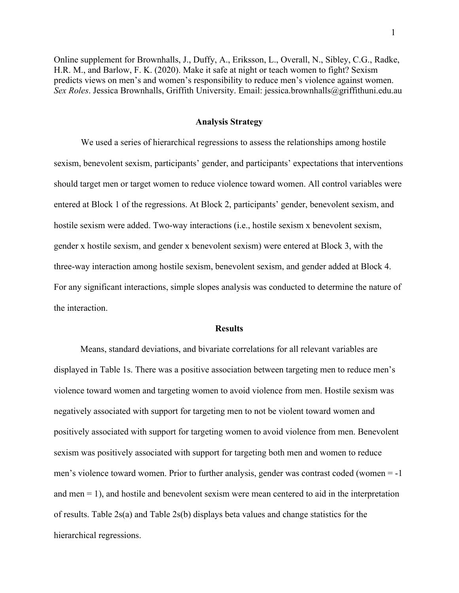Online supplement for Brownhalls, J., Duffy, A., Eriksson, L., Overall, N., Sibley, C.G., Radke, H.R. M., and Barlow, F. K. (2020). Make it safe at night or teach women to fight? Sexism predicts views on men's and women's responsibility to reduce men's violence against women. *Sex Roles*. Jessica Brownhalls, Griffith University. Email: jessica.brownhalls@griffithuni.edu.au

#### **Analysis Strategy**

We used a series of hierarchical regressions to assess the relationships among hostile sexism, benevolent sexism, participants' gender, and participants' expectations that interventions should target men or target women to reduce violence toward women. All control variables were entered at Block 1 of the regressions. At Block 2, participants' gender, benevolent sexism, and hostile sexism were added. Two-way interactions (i.e., hostile sexism x benevolent sexism, gender x hostile sexism, and gender x benevolent sexism) were entered at Block 3, with the three-way interaction among hostile sexism, benevolent sexism, and gender added at Block 4. For any significant interactions, simple slopes analysis was conducted to determine the nature of the interaction.

#### **Results**

Means, standard deviations, and bivariate correlations for all relevant variables are displayed in Table 1s. There was a positive association between targeting men to reduce men's violence toward women and targeting women to avoid violence from men. Hostile sexism was negatively associated with support for targeting men to not be violent toward women and positively associated with support for targeting women to avoid violence from men. Benevolent sexism was positively associated with support for targeting both men and women to reduce men's violence toward women. Prior to further analysis, gender was contrast coded (women = -1 and men  $= 1$ ), and hostile and benevolent sexism were mean centered to aid in the interpretation of results. Table 2s(a) and Table 2s(b) displays beta values and change statistics for the hierarchical regressions.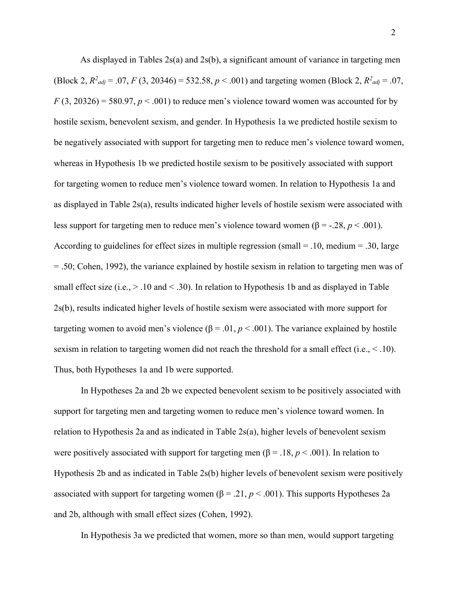As displayed in Tables 2s(a) and 2s(b), a significant amount of variance in targeting men (Block 2,  $R^2_{adj} = .07$ ,  $F(3, 20346) = 532.58$ ,  $p < .001$ ) and targeting women (Block 2,  $R^2_{adj} = .07$ ,  $F(3, 20326) = 580.97, p < .001$  to reduce men's violence toward women was accounted for by hostile sexism, benevolent sexism, and gender. In Hypothesis 1a we predicted hostile sexism to be negatively associated with support for targeting men to reduce men's violence toward women, whereas in Hypothesis 1b we predicted hostile sexism to be positively associated with support for targeting women to reduce men's violence toward women. In relation to Hypothesis 1a and as displayed in Table 2s(a), results indicated higher levels of hostile sexism were associated with less support for targeting men to reduce men's violence toward women (β = -.28,  $p < .001$ ). According to guidelines for effect sizes in multiple regression (small  $=$  .10, medium  $=$  .30, large = .50; Cohen, 1992), the variance explained by hostile sexism in relation to targeting men was of small effect size (i.e.,  $> 0.10$  and  $< 0.30$ ). In relation to Hypothesis 1b and as displayed in Table 2s(b), results indicated higher levels of hostile sexism were associated with more support for targeting women to avoid men's violence ( $\beta = 0.01$ ,  $p < 0.001$ ). The variance explained by hostile sexism in relation to targeting women did not reach the threshold for a small effect (i.e., < .10). Thus, both Hypotheses 1a and 1b were supported.

In Hypotheses 2a and 2b we expected benevolent sexism to be positively associated with support for targeting men and targeting women to reduce men's violence toward women. In relation to Hypothesis 2a and as indicated in Table 2s(a), higher levels of benevolent sexism were positively associated with support for targeting men ( $\beta = .18$ ,  $p < .001$ ). In relation to Hypothesis 2b and as indicated in Table 2s(b) higher levels of benevolent sexism were positively associated with support for targeting women ( $\beta = .21$ ,  $p < .001$ ). This supports Hypotheses 2a and 2b, although with small effect sizes (Cohen, 1992).

In Hypothesis 3a we predicted that women, more so than men, would support targeting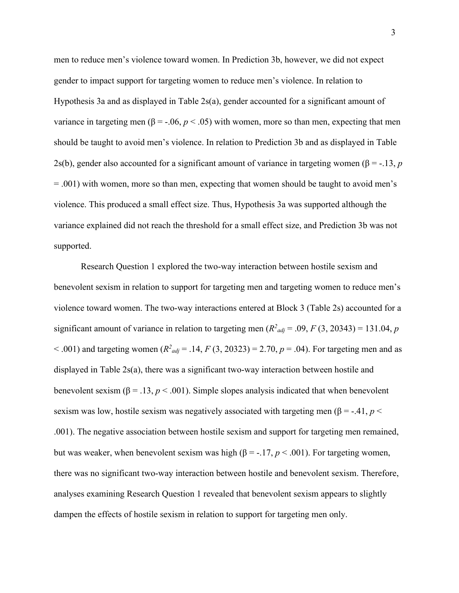men to reduce men's violence toward women. In Prediction 3b, however, we did not expect gender to impact support for targeting women to reduce men's violence. In relation to Hypothesis 3a and as displayed in Table 2s(a), gender accounted for a significant amount of variance in targeting men (β = -.06,  $p < .05$ ) with women, more so than men, expecting that men should be taught to avoid men's violence. In relation to Prediction 3b and as displayed in Table 2s(b), gender also accounted for a significant amount of variance in targeting women ( $\beta$  = -.13, *p* = .001) with women, more so than men, expecting that women should be taught to avoid men's violence. This produced a small effect size. Thus, Hypothesis 3a was supported although the variance explained did not reach the threshold for a small effect size, and Prediction 3b was not supported.

Research Question 1 explored the two-way interaction between hostile sexism and benevolent sexism in relation to support for targeting men and targeting women to reduce men's violence toward women. The two-way interactions entered at Block 3 (Table 2s) accounted for a significant amount of variance in relation to targeting men  $(R^2_{adj} = .09, F(3, 20343) = 131.04, p$  $< .001$ ) and targeting women ( $R^2_{adj} = .14$ ,  $F(3, 20323) = 2.70$ ,  $p = .04$ ). For targeting men and as displayed in Table 2s(a), there was a significant two-way interaction between hostile and benevolent sexism ( $\beta = .13$ ,  $p < .001$ ). Simple slopes analysis indicated that when benevolent sexism was low, hostile sexism was negatively associated with targeting men ( $\beta$  = -.41, *p* < .001). The negative association between hostile sexism and support for targeting men remained, but was weaker, when benevolent sexism was high (β = -.17,  $p$  < .001). For targeting women, there was no significant two-way interaction between hostile and benevolent sexism. Therefore, analyses examining Research Question 1 revealed that benevolent sexism appears to slightly dampen the effects of hostile sexism in relation to support for targeting men only.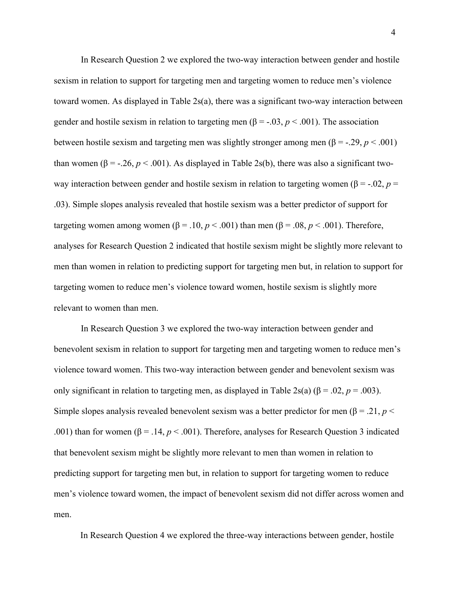In Research Question 2 we explored the two-way interaction between gender and hostile sexism in relation to support for targeting men and targeting women to reduce men's violence toward women. As displayed in Table 2s(a), there was a significant two-way interaction between gender and hostile sexism in relation to targeting men ( $\beta$  = -.03,  $p$  < .001). The association between hostile sexism and targeting men was slightly stronger among men ( $\beta$  = -.29, *p* < .001) than women ( $\beta$  = -.26,  $p < .001$ ). As displayed in Table 2s(b), there was also a significant twoway interaction between gender and hostile sexism in relation to targeting women ( $\beta = -.02$ ,  $p =$ .03). Simple slopes analysis revealed that hostile sexism was a better predictor of support for targeting women among women (β = .10,  $p < .001$ ) than men (β = .08,  $p < .001$ ). Therefore, analyses for Research Question 2 indicated that hostile sexism might be slightly more relevant to men than women in relation to predicting support for targeting men but, in relation to support for targeting women to reduce men's violence toward women, hostile sexism is slightly more relevant to women than men.

In Research Question 3 we explored the two-way interaction between gender and benevolent sexism in relation to support for targeting men and targeting women to reduce men's violence toward women. This two-way interaction between gender and benevolent sexism was only significant in relation to targeting men, as displayed in Table 2s(a) (β = .02, *p* = .003). Simple slopes analysis revealed benevolent sexism was a better predictor for men ( $\beta = .21$ ,  $p <$ .001) than for women ( $\beta = .14$ ,  $p < .001$ ). Therefore, analyses for Research Question 3 indicated that benevolent sexism might be slightly more relevant to men than women in relation to predicting support for targeting men but, in relation to support for targeting women to reduce men's violence toward women, the impact of benevolent sexism did not differ across women and men.

In Research Question 4 we explored the three-way interactions between gender, hostile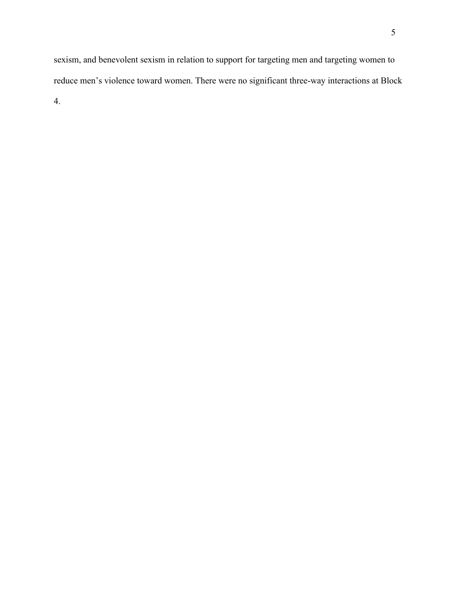sexism, and benevolent sexism in relation to support for targeting men and targeting women to reduce men's violence toward women. There were no significant three-way interactions at Block 4.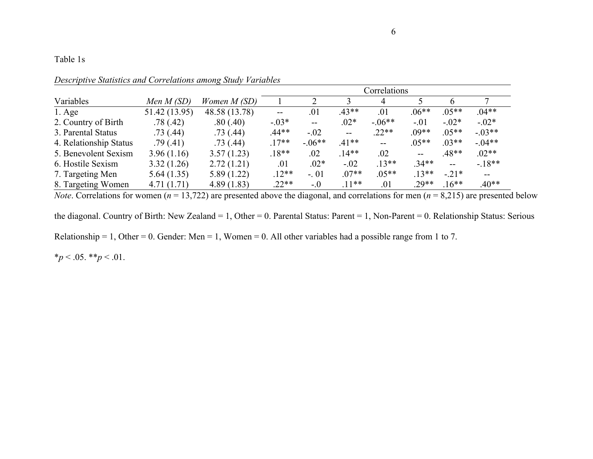# Table 1s

|                        |               |               | Correlations      |          |                          |          |         |         |                          |
|------------------------|---------------|---------------|-------------------|----------|--------------------------|----------|---------|---------|--------------------------|
| Variables              | Men $M(SD)$   | Women $M(SD)$ |                   |          |                          | 4        |         |         |                          |
| $1. \text{Age}$        | 51.42 (13.95) | 48.58 (13.78) | $\qquad \qquad -$ | .01      | $.43**$                  | .01      | $.06**$ | $.05**$ | $.04**$                  |
| 2. Country of Birth    | .78(.42)      | .80(.40)      | $-.03*$           | $\sim$   | $.02*$                   | $-.06**$ | $-.01$  | $-.02*$ | $-.02*$                  |
| 3. Parental Status     | .73(0.44)     | .73(.44)      | .44**             | $-.02$   | $\overline{\phantom{a}}$ | $.22**$  | $.09**$ | $.05**$ | $-.03**$                 |
| 4. Relationship Status | .79(.41)      | .73(.44)      | $.17**$           | $-.06**$ | $.41**$                  | $- -$    | $.05**$ | $.03**$ | $-.04**$                 |
| 5. Benevolent Sexism   | 3.96(1.16)    | 3.57(1.23)    | $.18**$           | .02      | $.14**$                  | .02      | $- -$   | .48**   | $.02**$                  |
| 6. Hostile Sexism      | 3.32(1.26)    | 2.72(1.21)    | .01               | $.02*$   | $-.02$                   | $.13**$  | $.34**$ | $- -$   | $-18**$                  |
| 7. Targeting Men       | 5.64(1.35)    | 5.89(1.22)    | $.12**$           | $-.01$   | $.07**$                  | $.05**$  | $.13**$ | $-.21*$ | $\overline{\phantom{m}}$ |
| 8. Targeting Women     | 4.71(1.71)    | 4.89(1.83)    | $.22**$           | $-.0$    | $.11**$                  | .01      | $.29**$ | $.16**$ | $.40**$                  |

*Descriptive Statistics and Correlations among Study Variables* 

*Note*. Correlations for women ( $n = 13,722$ ) are presented above the diagonal, and correlations for men ( $n = 8,215$ ) are presented below

the diagonal. Country of Birth: New Zealand = 1, Other = 0. Parental Status: Parent = 1, Non-Parent = 0. Relationship Status: Serious

Relationship = 1, Other = 0. Gender: Men = 1, Women = 0. All other variables had a possible range from 1 to 7.

 $*_{p}$  < .05.  $*_{p}$  < .01.